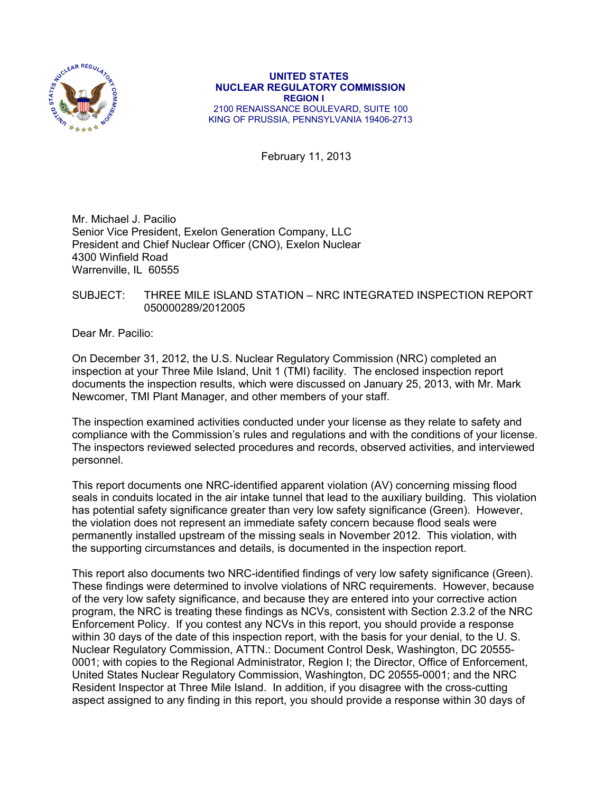

#### **UNITED STATES NUCLEAR REGULATORY COMMISSION REGION I**  2100 RENAISSANCE BOULEVARD, SUITE 100 KING OF PRUSSIA, PENNSYLVANIA 19406-2713

February 11, 2013

Mr. Michael J. Pacilio Senior Vice President, Exelon Generation Company, LLC President and Chief Nuclear Officer (CNO), Exelon Nuclear 4300 Winfield Road Warrenville, IL 60555

SUBJECT: THREE MILE ISLAND STATION – NRC INTEGRATED INSPECTION REPORT 050000289/2012005

Dear Mr. Pacilio:

On December 31, 2012, the U.S. Nuclear Regulatory Commission (NRC) completed an inspection at your Three Mile Island, Unit 1 (TMI) facility. The enclosed inspection report documents the inspection results, which were discussed on January 25, 2013, with Mr. Mark Newcomer, TMI Plant Manager, and other members of your staff.

The inspection examined activities conducted under your license as they relate to safety and compliance with the Commission's rules and regulations and with the conditions of your license. The inspectors reviewed selected procedures and records, observed activities, and interviewed personnel.

This report documents one NRC-identified apparent violation (AV) concerning missing flood seals in conduits located in the air intake tunnel that lead to the auxiliary building. This violation has potential safety significance greater than very low safety significance (Green). However, the violation does not represent an immediate safety concern because flood seals were permanently installed upstream of the missing seals in November 2012. This violation, with the supporting circumstances and details, is documented in the inspection report.

This report also documents two NRC-identified findings of very low safety significance (Green). These findings were determined to involve violations of NRC requirements. However, because of the very low safety significance, and because they are entered into your corrective action program, the NRC is treating these findings as NCVs, consistent with Section 2.3.2 of the NRC Enforcement Policy. If you contest any NCVs in this report, you should provide a response within 30 days of the date of this inspection report, with the basis for your denial, to the U. S. Nuclear Regulatory Commission, ATTN.: Document Control Desk, Washington, DC 20555- 0001; with copies to the Regional Administrator, Region I; the Director, Office of Enforcement, United States Nuclear Regulatory Commission, Washington, DC 20555-0001; and the NRC Resident Inspector at Three Mile Island. In addition, if you disagree with the cross-cutting aspect assigned to any finding in this report, you should provide a response within 30 days of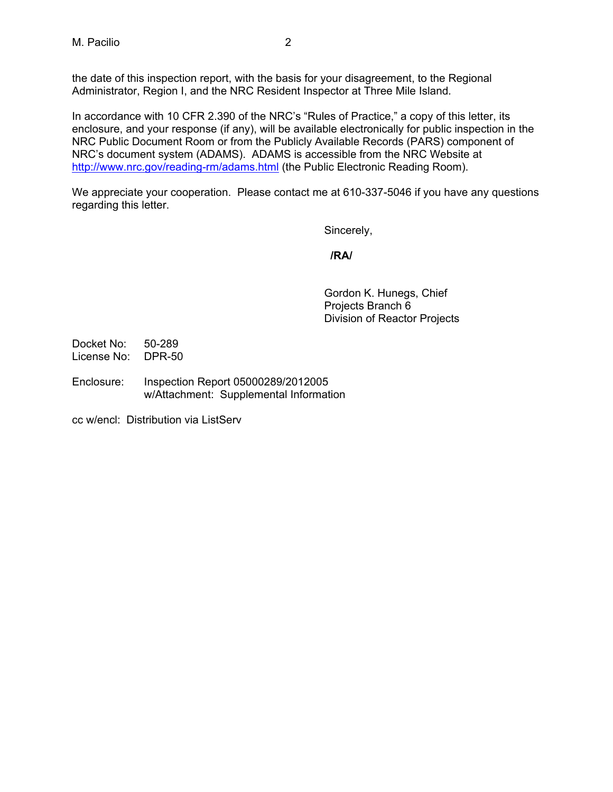the date of this inspection report, with the basis for your disagreement, to the Regional Administrator, Region I, and the NRC Resident Inspector at Three Mile Island*.* 

In accordance with 10 CFR 2.390 of the NRC's "Rules of Practice," a copy of this letter, its enclosure, and your response (if any), will be available electronically for public inspection in the NRC Public Document Room or from the Publicly Available Records (PARS) component of NRC's document system (ADAMS). ADAMS is accessible from the NRC Website at http://www.nrc.gov/reading-rm/adams.html (the Public Electronic Reading Room).

We appreciate your cooperation. Please contact me at 610-337-5046 if you have any questions regarding this letter.

Sincerely,

## *<i>/RA/*  $\sqrt{R}$ /RA/

Gordon K. Hunegs, Chief Projects Branch 6 Division of Reactor Projects

Docket No: 50-289 License No: DPR-50

Enclosure: Inspection Report 05000289/2012005 w/Attachment: Supplemental Information

cc w/encl: Distribution via ListServ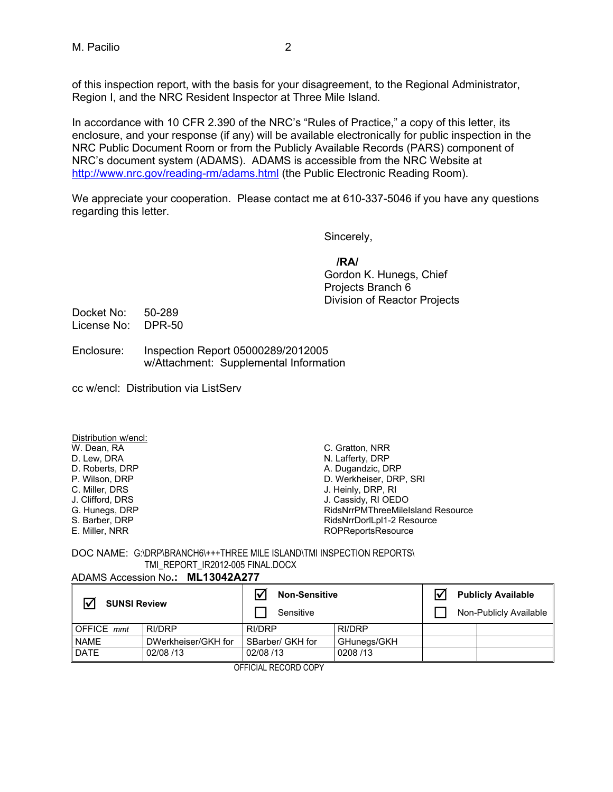of this inspection report, with the basis for your disagreement, to the Regional Administrator, Region I, and the NRC Resident Inspector at Three Mile Island*.* 

In accordance with 10 CFR 2.390 of the NRC's "Rules of Practice," a copy of this letter, its enclosure, and your response (if any) will be available electronically for public inspection in the NRC Public Document Room or from the Publicly Available Records (PARS) component of NRC's document system (ADAMS). ADAMS is accessible from the NRC Website at http://www.nrc.gov/reading-rm/adams.html (the Public Electronic Reading Room).

We appreciate your cooperation. Please contact me at 610-337-5046 if you have any questions regarding this letter.

Sincerely,

### **/RA/**

Gordon K. Hunegs, Chief Projects Branch 6 Division of Reactor Projects

Docket No: 50-289 License No: DPR-50

- Enclosure: Inspection Report 05000289/2012005 w/Attachment: Supplemental Information
- cc w/encl: Distribution via ListServ

Distribution w/encl: W. Dean, RA D. Lew, DRA D. Roberts, DRP P. Wilson, DRP C. Miller, DRS J. Clifford, DRS G. Hunegs, DRP S. Barber, DRP E. Miller, NRR

C. Gratton, NRR N. Lafferty, DRP A. Dugandzic, DRP D. Werkheiser, DRP, SRI J. Heinly, DRP, RI<br>J. Cassidy, RI OEDO RidsNrrPMThreeMileIsland Resource RidsNrrDorlLpl1-2 Resource ROPReportsResource

#### DOC NAME: G:\DRP\BRANCH6\+++THREE MILE ISLAND\TMI INSPECTION REPORTS\ TMI\_REPORT\_IR2012-005 FINAL.DOCX ADAMS Accession No**.: ML13042A277**

|                     | ADAMS Accession No.: ML13042A211 |                                   |               |  |                                                     |  |  |
|---------------------|----------------------------------|-----------------------------------|---------------|--|-----------------------------------------------------|--|--|
| <b>SUNSI Review</b> |                                  | <b>Non-Sensitive</b><br>Sensitive |               |  | <b>Publicly Available</b><br>Non-Publicly Available |  |  |
| <b>OFFICE</b> mmt   | RI/DRP                           | RI/DRP                            | <b>RI/DRP</b> |  |                                                     |  |  |
| <b>NAME</b>         | DWerkheiser/GKH for              | SBarber/ GKH for                  | GHunegs/GKH   |  |                                                     |  |  |
| <b>DATE</b>         | 02/08 /13                        | 02/08 /13                         | 0208/13       |  |                                                     |  |  |
|                     | --------------------             |                                   |               |  |                                                     |  |  |

OFFICIAL RECORD COPY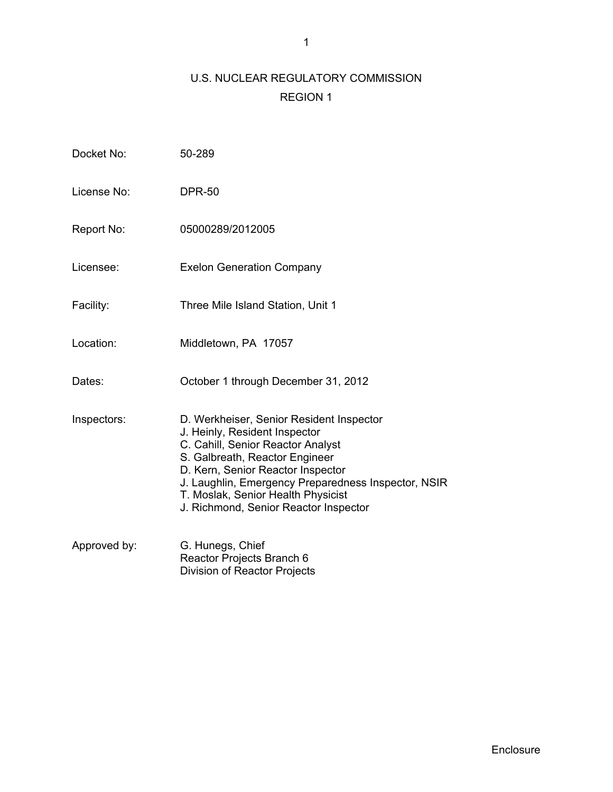# U.S. NUCLEAR REGULATORY COMMISSION REGION 1

| Docket No:   | 50-289                                                                                                                                                                                                                                                                                                                      |
|--------------|-----------------------------------------------------------------------------------------------------------------------------------------------------------------------------------------------------------------------------------------------------------------------------------------------------------------------------|
| License No:  | <b>DPR-50</b>                                                                                                                                                                                                                                                                                                               |
| Report No:   | 05000289/2012005                                                                                                                                                                                                                                                                                                            |
| Licensee:    | <b>Exelon Generation Company</b>                                                                                                                                                                                                                                                                                            |
| Facility:    | Three Mile Island Station, Unit 1                                                                                                                                                                                                                                                                                           |
| Location:    | Middletown, PA 17057                                                                                                                                                                                                                                                                                                        |
| Dates:       | October 1 through December 31, 2012                                                                                                                                                                                                                                                                                         |
| Inspectors:  | D. Werkheiser, Senior Resident Inspector<br>J. Heinly, Resident Inspector<br>C. Cahill, Senior Reactor Analyst<br>S. Galbreath, Reactor Engineer<br>D. Kern, Senior Reactor Inspector<br>J. Laughlin, Emergency Preparedness Inspector, NSIR<br>T. Moslak, Senior Health Physicist<br>J. Richmond, Senior Reactor Inspector |
| Approved by: | G. Hunegs, Chief<br>Reactor Projects Branch 6                                                                                                                                                                                                                                                                               |

Division of Reactor Projects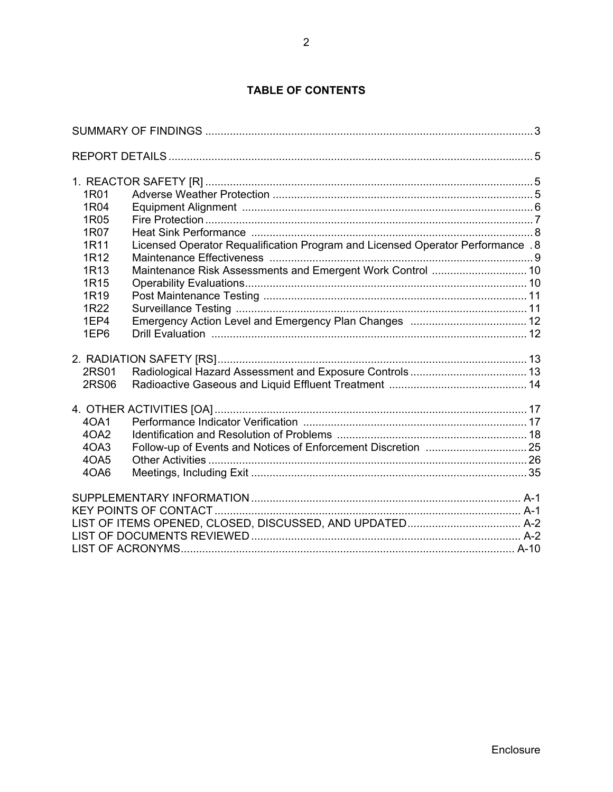# **TABLE OF CONTENTS**

| 1R01             |                                                                                 |  |
|------------------|---------------------------------------------------------------------------------|--|
| 1R04             |                                                                                 |  |
| 1R05             |                                                                                 |  |
| 1R07             |                                                                                 |  |
| 1R11             | Licensed Operator Requalification Program and Licensed Operator Performance . 8 |  |
| 1R12             |                                                                                 |  |
| 1R13             | Maintenance Risk Assessments and Emergent Work Control  10                      |  |
| 1R <sub>15</sub> |                                                                                 |  |
| 1R <sub>19</sub> |                                                                                 |  |
| 1R22             |                                                                                 |  |
| 1EP4             |                                                                                 |  |
| 1EP6             |                                                                                 |  |
|                  |                                                                                 |  |
| 2RS01            |                                                                                 |  |
| <b>2RS06</b>     |                                                                                 |  |
|                  |                                                                                 |  |
| 40A1             |                                                                                 |  |
| 4OA2             |                                                                                 |  |
| 4OA3             |                                                                                 |  |
| 4OA5             |                                                                                 |  |
| 4OA6             |                                                                                 |  |
|                  |                                                                                 |  |
|                  |                                                                                 |  |
|                  |                                                                                 |  |
|                  |                                                                                 |  |
|                  |                                                                                 |  |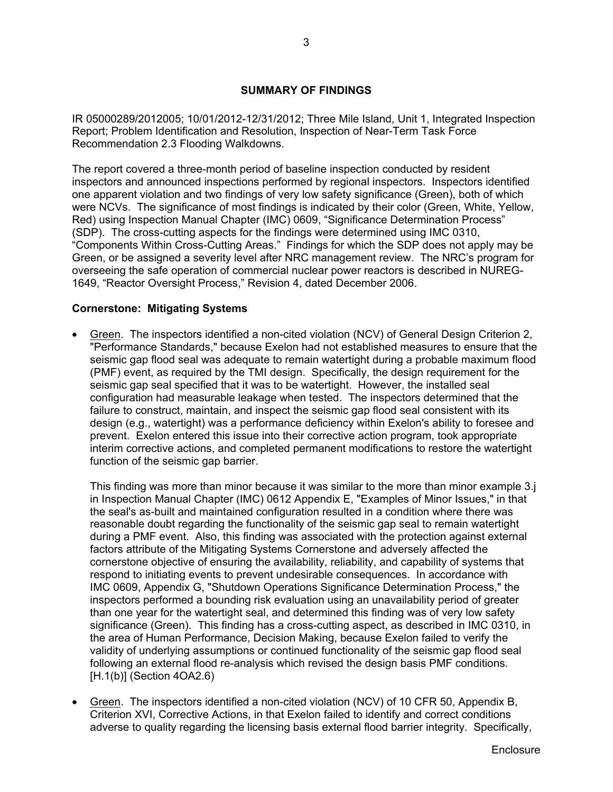### **SUMMARY OF FINDINGS**

IR 05000289/2012005; 10/01/2012-12/31/2012; Three Mile Island, Unit 1, Integrated Inspection Report; Problem Identification and Resolution, Inspection of Near-Term Task Force Recommendation 2.3 Flooding Walkdowns.

The report covered a three-month period of baseline inspection conducted by resident inspectors and announced inspections performed by regional inspectors. Inspectors identified one apparent violation and two findings of very low safety significance (Green), both of which were NCVs. The significance of most findings is indicated by their color (Green, White, Yellow, Red) using Inspection Manual Chapter (IMC) 0609, "Significance Determination Process" (SDP). The cross-cutting aspects for the findings were determined using IMC 0310, "Components Within Cross-Cutting Areas." Findings for which the SDP does not apply may be Green, or be assigned a severity level after NRC management review. The NRC's program for overseeing the safe operation of commercial nuclear power reactors is described in NUREG-1649, "Reactor Oversight Process," Revision 4, dated December 2006.

### **Cornerstone: Mitigating Systems**

 Green. The inspectors identified a non-cited violation (NCV) of General Design Criterion 2, "Performance Standards," because Exelon had not established measures to ensure that the seismic gap flood seal was adequate to remain watertight during a probable maximum flood (PMF) event, as required by the TMI design. Specifically, the design requirement for the seismic gap seal specified that it was to be watertight. However, the installed seal configuration had measurable leakage when tested. The inspectors determined that the failure to construct, maintain, and inspect the seismic gap flood seal consistent with its design (e.g., watertight) was a performance deficiency within Exelon's ability to foresee and prevent. Exelon entered this issue into their corrective action program, took appropriate interim corrective actions, and completed permanent modifications to restore the watertight function of the seismic gap barrier.

This finding was more than minor because it was similar to the more than minor example 3.j in Inspection Manual Chapter (IMC) 0612 Appendix E, "Examples of Minor Issues," in that the seal's as-built and maintained configuration resulted in a condition where there was reasonable doubt regarding the functionality of the seismic gap seal to remain watertight during a PMF event. Also, this finding was associated with the protection against external factors attribute of the Mitigating Systems Cornerstone and adversely affected the cornerstone objective of ensuring the availability, reliability, and capability of systems that respond to initiating events to prevent undesirable consequences. In accordance with IMC 0609, Appendix G, "Shutdown Operations Significance Determination Process," the inspectors performed a bounding risk evaluation using an unavailability period of greater than one year for the watertight seal, and determined this finding was of very low safety significance (Green). This finding has a cross-cutting aspect, as described in IMC 0310, in the area of Human Performance, Decision Making, because Exelon failed to verify the validity of underlying assumptions or continued functionality of the seismic gap flood seal following an external flood re-analysis which revised the design basis PMF conditions. [H.1(b)] (Section 4OA2.6)

• Green. The inspectors identified a non-cited violation (NCV) of 10 CFR 50, Appendix B, Criterion XVI, Corrective Actions, in that Exelon failed to identify and correct conditions adverse to quality regarding the licensing basis external flood barrier integrity. Specifically,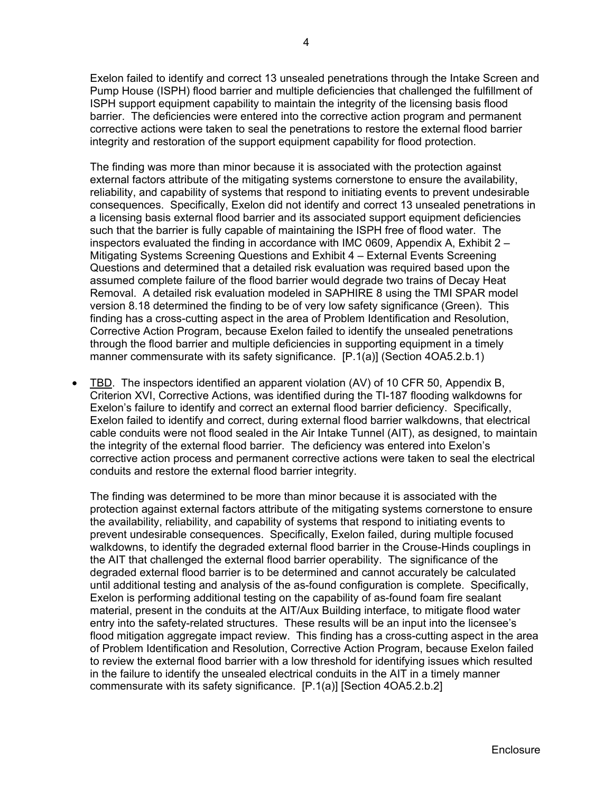Exelon failed to identify and correct 13 unsealed penetrations through the Intake Screen and Pump House (ISPH) flood barrier and multiple deficiencies that challenged the fulfillment of ISPH support equipment capability to maintain the integrity of the licensing basis flood barrier. The deficiencies were entered into the corrective action program and permanent corrective actions were taken to seal the penetrations to restore the external flood barrier integrity and restoration of the support equipment capability for flood protection.

The finding was more than minor because it is associated with the protection against external factors attribute of the mitigating systems cornerstone to ensure the availability, reliability, and capability of systems that respond to initiating events to prevent undesirable consequences. Specifically, Exelon did not identify and correct 13 unsealed penetrations in a licensing basis external flood barrier and its associated support equipment deficiencies such that the barrier is fully capable of maintaining the ISPH free of flood water. The inspectors evaluated the finding in accordance with IMC 0609, Appendix A, Exhibit 2 – Mitigating Systems Screening Questions and Exhibit 4 – External Events Screening Questions and determined that a detailed risk evaluation was required based upon the assumed complete failure of the flood barrier would degrade two trains of Decay Heat Removal. A detailed risk evaluation modeled in SAPHIRE 8 using the TMI SPAR model version 8.18 determined the finding to be of very low safety significance (Green). This finding has a cross-cutting aspect in the area of Problem Identification and Resolution, Corrective Action Program, because Exelon failed to identify the unsealed penetrations through the flood barrier and multiple deficiencies in supporting equipment in a timely manner commensurate with its safety significance. [P.1(a)] (Section 4OA5.2.b.1)

 TBD. The inspectors identified an apparent violation (AV) of 10 CFR 50, Appendix B, Criterion XVI, Corrective Actions, was identified during the TI-187 flooding walkdowns for Exelon's failure to identify and correct an external flood barrier deficiency. Specifically, Exelon failed to identify and correct, during external flood barrier walkdowns, that electrical cable conduits were not flood sealed in the Air Intake Tunnel (AIT), as designed, to maintain the integrity of the external flood barrier. The deficiency was entered into Exelon's corrective action process and permanent corrective actions were taken to seal the electrical conduits and restore the external flood barrier integrity.

The finding was determined to be more than minor because it is associated with the protection against external factors attribute of the mitigating systems cornerstone to ensure the availability, reliability, and capability of systems that respond to initiating events to prevent undesirable consequences. Specifically, Exelon failed, during multiple focused walkdowns, to identify the degraded external flood barrier in the Crouse-Hinds couplings in the AIT that challenged the external flood barrier operability. The significance of the degraded external flood barrier is to be determined and cannot accurately be calculated until additional testing and analysis of the as-found configuration is complete. Specifically, Exelon is performing additional testing on the capability of as-found foam fire sealant material, present in the conduits at the AIT/Aux Building interface, to mitigate flood water entry into the safety-related structures. These results will be an input into the licensee's flood mitigation aggregate impact review. This finding has a cross-cutting aspect in the area of Problem Identification and Resolution, Corrective Action Program, because Exelon failed to review the external flood barrier with a low threshold for identifying issues which resulted in the failure to identify the unsealed electrical conduits in the AIT in a timely manner commensurate with its safety significance. [P.1(a)] [Section 4OA5.2.b.2]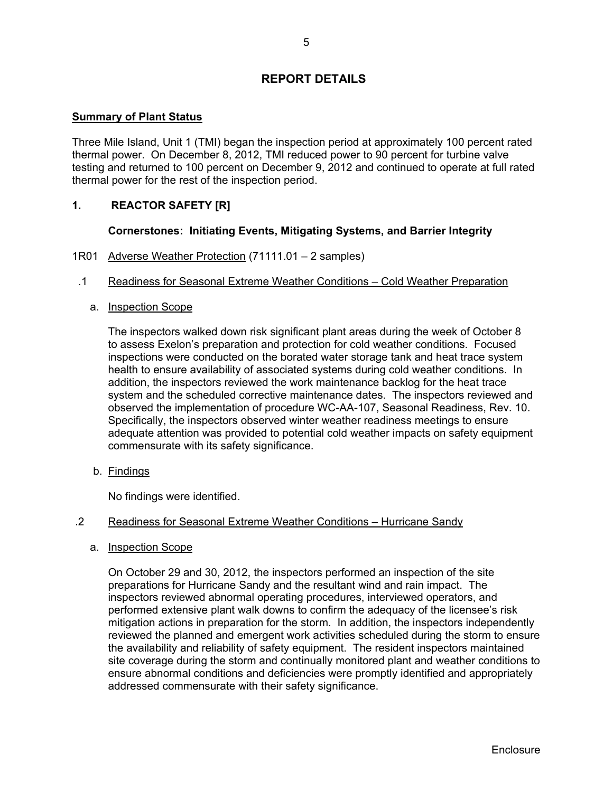## **REPORT DETAILS**

#### **Summary of Plant Status**

Three Mile Island, Unit 1 (TMI) began the inspection period at approximately 100 percent rated thermal power. On December 8, 2012, TMI reduced power to 90 percent for turbine valve testing and returned to 100 percent on December 9, 2012 and continued to operate at full rated thermal power for the rest of the inspection period.

### **1. REACTOR SAFETY [R]**

#### **Cornerstones: Initiating Events, Mitigating Systems, and Barrier Integrity**

- 1R01 Adverse Weather Protection (71111.01 2 samples)
- .1 Readiness for Seasonal Extreme Weather Conditions Cold Weather Preparation

#### a. Inspection Scope

The inspectors walked down risk significant plant areas during the week of October 8 to assess Exelon's preparation and protection for cold weather conditions. Focused inspections were conducted on the borated water storage tank and heat trace system health to ensure availability of associated systems during cold weather conditions. In addition, the inspectors reviewed the work maintenance backlog for the heat trace system and the scheduled corrective maintenance dates. The inspectors reviewed and observed the implementation of procedure WC-AA-107, Seasonal Readiness, Rev. 10. Specifically, the inspectors observed winter weather readiness meetings to ensure adequate attention was provided to potential cold weather impacts on safety equipment commensurate with its safety significance.

b. Findings

No findings were identified.

#### .2 Readiness for Seasonal Extreme Weather Conditions – Hurricane Sandy

#### a. Inspection Scope

On October 29 and 30, 2012, the inspectors performed an inspection of the site preparations for Hurricane Sandy and the resultant wind and rain impact. The inspectors reviewed abnormal operating procedures, interviewed operators, and performed extensive plant walk downs to confirm the adequacy of the licensee's risk mitigation actions in preparation for the storm. In addition, the inspectors independently reviewed the planned and emergent work activities scheduled during the storm to ensure the availability and reliability of safety equipment. The resident inspectors maintained site coverage during the storm and continually monitored plant and weather conditions to ensure abnormal conditions and deficiencies were promptly identified and appropriately addressed commensurate with their safety significance.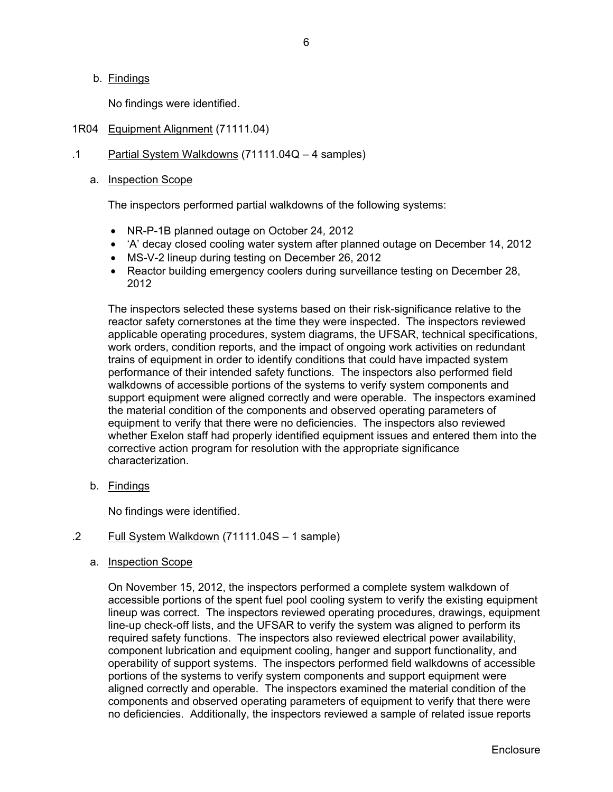#### b. Findings

No findings were identified.

#### 1R04 Equipment Alignment (71111.04)

#### .1 Partial System Walkdowns (71111.04Q – 4 samples)

#### a. Inspection Scope

The inspectors performed partial walkdowns of the following systems:

- NR-P-1B planned outage on October 24*,* 2012
- 'A' decay closed cooling water system after planned outage on December 14, 2012
- MS-V-2 lineup during testing on December 26, 2012
- Reactor building emergency coolers during surveillance testing on December 28, 2012

The inspectors selected these systems based on their risk-significance relative to the reactor safety cornerstones at the time they were inspected. The inspectors reviewed applicable operating procedures, system diagrams, the UFSAR, technical specifications, work orders, condition reports, and the impact of ongoing work activities on redundant trains of equipment in order to identify conditions that could have impacted system performance of their intended safety functions. The inspectors also performed field walkdowns of accessible portions of the systems to verify system components and support equipment were aligned correctly and were operable. The inspectors examined the material condition of the components and observed operating parameters of equipment to verify that there were no deficiencies. The inspectors also reviewed whether Exelon staff had properly identified equipment issues and entered them into the corrective action program for resolution with the appropriate significance characterization.

b. Findings

No findings were identified.

### .2 Full System Walkdown (71111.04S – 1 sample)

#### a. Inspection Scope

On November 15, 2012, the inspectors performed a complete system walkdown of accessible portions of the spent fuel pool cooling system to verify the existing equipment lineup was correct. The inspectors reviewed operating procedures, drawings, equipment line-up check-off lists, and the UFSAR to verify the system was aligned to perform its required safety functions. The inspectors also reviewed electrical power availability, component lubrication and equipment cooling, hanger and support functionality, and operability of support systems. The inspectors performed field walkdowns of accessible portions of the systems to verify system components and support equipment were aligned correctly and operable. The inspectors examined the material condition of the components and observed operating parameters of equipment to verify that there were no deficiencies. Additionally, the inspectors reviewed a sample of related issue reports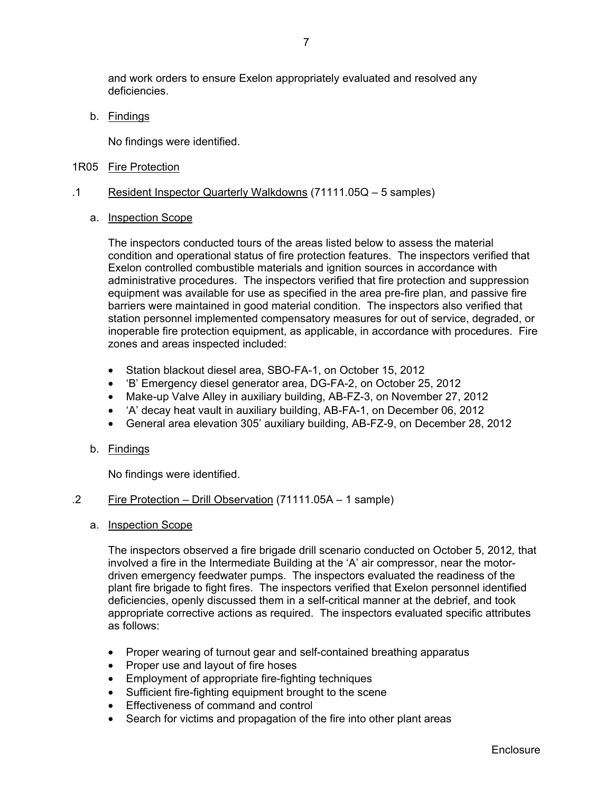and work orders to ensure Exelon appropriately evaluated and resolved any deficiencies.

b. Findings

No findings were identified.

1R05 Fire Protection

#### .1 Resident Inspector Quarterly Walkdowns (71111.05Q – 5 samples)

#### a. Inspection Scope

The inspectors conducted tours of the areas listed below to assess the material condition and operational status of fire protection features. The inspectors verified that Exelon controlled combustible materials and ignition sources in accordance with administrative procedures. The inspectors verified that fire protection and suppression equipment was available for use as specified in the area pre-fire plan, and passive fire barriers were maintained in good material condition. The inspectors also verified that station personnel implemented compensatory measures for out of service, degraded, or inoperable fire protection equipment, as applicable, in accordance with procedures. Fire zones and areas inspected included:

- Station blackout diesel area, SBO-FA-1, on October 15, 2012
- 'B' Emergency diesel generator area, DG-FA-2, on October 25, 2012
- Make-up Valve Alley in auxiliary building, AB-FZ-3, on November 27, 2012
- 'A' decay heat vault in auxiliary building, AB-FA-1, on December 06, 2012
- General area elevation 305' auxiliary building, AB-FZ-9, on December 28, 2012

#### b. Findings

No findings were identified.

#### .2 Fire Protection – Drill Observation (71111.05A – 1 sample)

#### a. Inspection Scope

The inspectors observed a fire brigade drill scenario conducted on October 5, 2012*,* that involved a fire in the Intermediate Building at the 'A' air compressor, near the motordriven emergency feedwater pumps. The inspectors evaluated the readiness of the plant fire brigade to fight fires. The inspectors verified that Exelon personnel identified deficiencies, openly discussed them in a self-critical manner at the debrief, and took appropriate corrective actions as required. The inspectors evaluated specific attributes as follows:

- Proper wearing of turnout gear and self-contained breathing apparatus
- Proper use and layout of fire hoses
- Employment of appropriate fire-fighting techniques
- Sufficient fire-fighting equipment brought to the scene
- **Effectiveness of command and control**
- Search for victims and propagation of the fire into other plant areas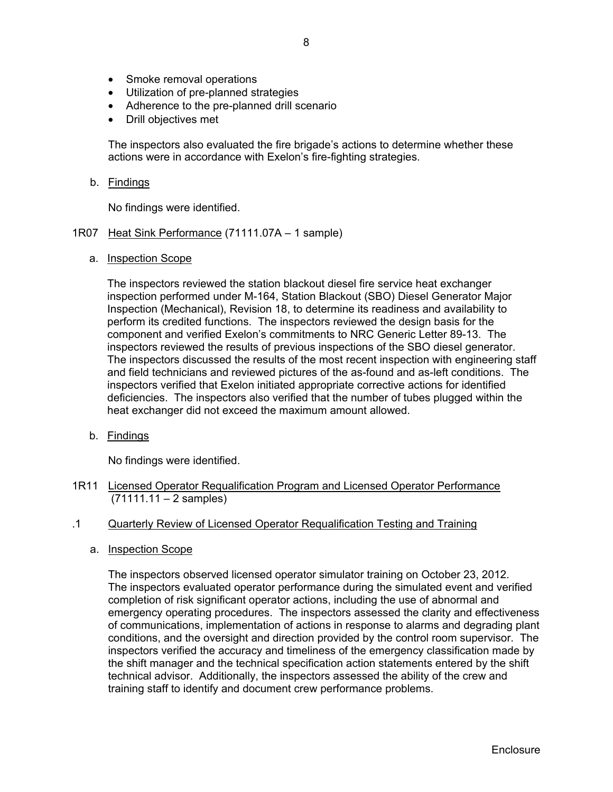- Smoke removal operations
- Utilization of pre-planned strategies
- Adherence to the pre-planned drill scenario
- Drill objectives met

The inspectors also evaluated the fire brigade's actions to determine whether these actions were in accordance with Exelon's fire-fighting strategies.

#### b. Findings

No findings were identified.

#### 1R07 Heat Sink Performance (71111.07A – 1 sample)

a. Inspection Scope

The inspectors reviewed the station blackout diesel fire service heat exchanger inspection performed under M-164, Station Blackout (SBO) Diesel Generator Major Inspection (Mechanical), Revision 18, to determine its readiness and availability to perform its credited functions. The inspectors reviewed the design basis for the component and verified Exelon's commitments to NRC Generic Letter 89-13. The inspectors reviewed the results of previous inspections of the SBO diesel generator. The inspectors discussed the results of the most recent inspection with engineering staff and field technicians and reviewed pictures of the as-found and as-left conditions. The inspectors verified that Exelon initiated appropriate corrective actions for identified deficiencies. The inspectors also verified that the number of tubes plugged within the heat exchanger did not exceed the maximum amount allowed.

b. Findings

No findings were identified.

- 1R11 Licensed Operator Requalification Program and Licensed Operator Performance  $(71111.11 - 2$  samples)
- .1 Quarterly Review of Licensed Operator Requalification Testing and Training
	- a. Inspection Scope

The inspectors observed licensed operator simulator training on October 23, 2012*.* The inspectors evaluated operator performance during the simulated event and verified completion of risk significant operator actions, including the use of abnormal and emergency operating procedures. The inspectors assessed the clarity and effectiveness of communications, implementation of actions in response to alarms and degrading plant conditions, and the oversight and direction provided by the control room supervisor. The inspectors verified the accuracy and timeliness of the emergency classification made by the shift manager and the technical specification action statements entered by the shift technical advisor. Additionally, the inspectors assessed the ability of the crew and training staff to identify and document crew performance problems.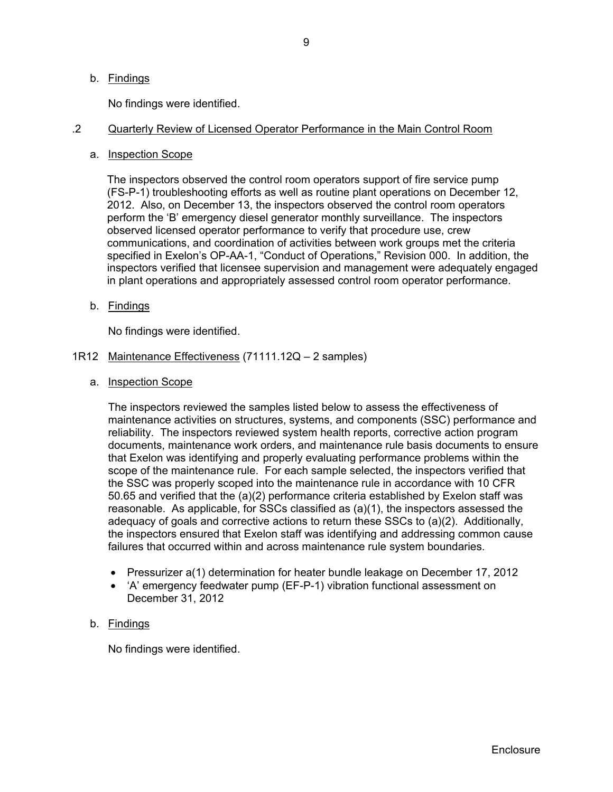#### b. Findings

No findings were identified.

### .2 Quarterly Review of Licensed Operator Performance in the Main Control Room

a. Inspection Scope

The inspectors observed the control room operators support of fire service pump (FS-P-1) troubleshooting efforts as well as routine plant operations on December 12, 2012. Also, on December 13, the inspectors observed the control room operators perform the 'B' emergency diesel generator monthly surveillance. The inspectors observed licensed operator performance to verify that procedure use, crew communications, and coordination of activities between work groups met the criteria specified in Exelon's OP-AA-1, "Conduct of Operations," Revision 000. In addition, the inspectors verified that licensee supervision and management were adequately engaged in plant operations and appropriately assessed control room operator performance.

b. Findings

No findings were identified.

- 1R12 Maintenance Effectiveness (71111.12Q 2 samples)
	- a. Inspection Scope

The inspectors reviewed the samples listed below to assess the effectiveness of maintenance activities on structures, systems, and components (SSC) performance and reliability. The inspectors reviewed system health reports, corrective action program documents, maintenance work orders, and maintenance rule basis documents to ensure that Exelon was identifying and properly evaluating performance problems within the scope of the maintenance rule. For each sample selected, the inspectors verified that the SSC was properly scoped into the maintenance rule in accordance with 10 CFR 50.65 and verified that the (a)(2) performance criteria established by Exelon staff was reasonable. As applicable, for SSCs classified as (a)(1), the inspectors assessed the adequacy of goals and corrective actions to return these SSCs to (a)(2). Additionally, the inspectors ensured that Exelon staff was identifying and addressing common cause failures that occurred within and across maintenance rule system boundaries.

- Pressurizer a(1) determination for heater bundle leakage on December 17, 2012
- 'A' emergency feedwater pump (EF-P-1) vibration functional assessment on December 31, 2012

#### b. Findings

No findings were identified.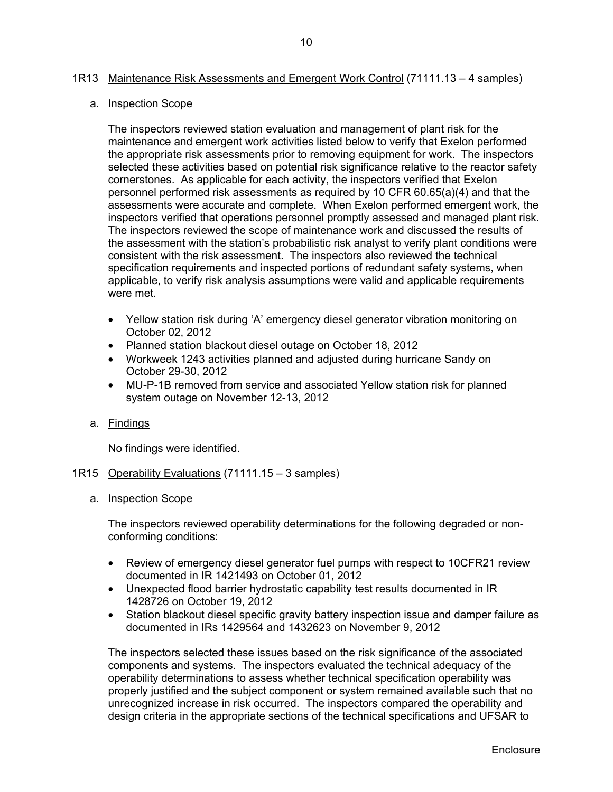#### 1R13 Maintenance Risk Assessments and Emergent Work Control (71111.13 – 4 samples)

#### a. Inspection Scope

The inspectors reviewed station evaluation and management of plant risk for the maintenance and emergent work activities listed below to verify that Exelon performed the appropriate risk assessments prior to removing equipment for work. The inspectors selected these activities based on potential risk significance relative to the reactor safety cornerstones. As applicable for each activity, the inspectors verified that Exelon personnel performed risk assessments as required by 10 CFR 60.65(a)(4) and that the assessments were accurate and complete. When Exelon performed emergent work, the inspectors verified that operations personnel promptly assessed and managed plant risk. The inspectors reviewed the scope of maintenance work and discussed the results of the assessment with the station's probabilistic risk analyst to verify plant conditions were consistent with the risk assessment. The inspectors also reviewed the technical specification requirements and inspected portions of redundant safety systems, when applicable, to verify risk analysis assumptions were valid and applicable requirements were met.

- Yellow station risk during 'A' emergency diesel generator vibration monitoring on October 02, 2012
- Planned station blackout diesel outage on October 18, 2012
- Workweek 1243 activities planned and adjusted during hurricane Sandy on October 29-30, 2012
- MU-P-1B removed from service and associated Yellow station risk for planned system outage on November 12-13, 2012
- a. Findings

No findings were identified.

- 1R15 Operability Evaluations (71111.15 3 samples)
	- a. Inspection Scope

The inspectors reviewed operability determinations for the following degraded or nonconforming conditions:

- Review of emergency diesel generator fuel pumps with respect to 10CFR21 review documented in IR 1421493 on October 01, 2012
- Unexpected flood barrier hydrostatic capability test results documented in IR 1428726 on October 19, 2012
- Station blackout diesel specific gravity battery inspection issue and damper failure as documented in IRs 1429564 and 1432623 on November 9, 2012

The inspectors selected these issues based on the risk significance of the associated components and systems. The inspectors evaluated the technical adequacy of the operability determinations to assess whether technical specification operability was properly justified and the subject component or system remained available such that no unrecognized increase in risk occurred. The inspectors compared the operability and design criteria in the appropriate sections of the technical specifications and UFSAR to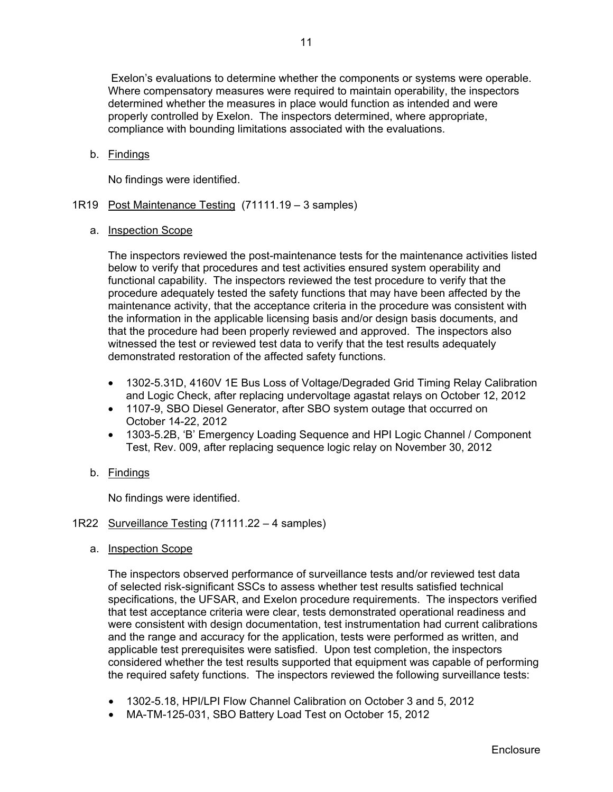Exelon's evaluations to determine whether the components or systems were operable. Where compensatory measures were required to maintain operability, the inspectors determined whether the measures in place would function as intended and were properly controlled by Exelon. The inspectors determined, where appropriate, compliance with bounding limitations associated with the evaluations.

b. Findings

No findings were identified.

- 1R19 Post Maintenance Testing (71111.19 3 samples)
	- a. Inspection Scope

The inspectors reviewed the post-maintenance tests for the maintenance activities listed below to verify that procedures and test activities ensured system operability and functional capability. The inspectors reviewed the test procedure to verify that the procedure adequately tested the safety functions that may have been affected by the maintenance activity, that the acceptance criteria in the procedure was consistent with the information in the applicable licensing basis and/or design basis documents, and that the procedure had been properly reviewed and approved. The inspectors also witnessed the test or reviewed test data to verify that the test results adequately demonstrated restoration of the affected safety functions.

- 1302-5.31D, 4160V 1E Bus Loss of Voltage/Degraded Grid Timing Relay Calibration and Logic Check, after replacing undervoltage agastat relays on October 12, 2012
- 1107-9, SBO Diesel Generator, after SBO system outage that occurred on October 14-22, 2012
- 1303-5.2B, 'B' Emergency Loading Sequence and HPI Logic Channel / Component Test, Rev. 009, after replacing sequence logic relay on November 30, 2012
- b. Findings

No findings were identified.

#### 1R22 Surveillance Testing (71111.22 – 4 samples)

a. Inspection Scope

The inspectors observed performance of surveillance tests and/or reviewed test data of selected risk-significant SSCs to assess whether test results satisfied technical specifications, the UFSAR, and Exelon procedure requirements. The inspectors verified that test acceptance criteria were clear, tests demonstrated operational readiness and were consistent with design documentation, test instrumentation had current calibrations and the range and accuracy for the application, tests were performed as written, and applicable test prerequisites were satisfied. Upon test completion, the inspectors considered whether the test results supported that equipment was capable of performing the required safety functions. The inspectors reviewed the following surveillance tests:

- 1302-5.18, HPI/LPI Flow Channel Calibration on October 3 and 5, 2012
- MA-TM-125-031, SBO Battery Load Test on October 15, 2012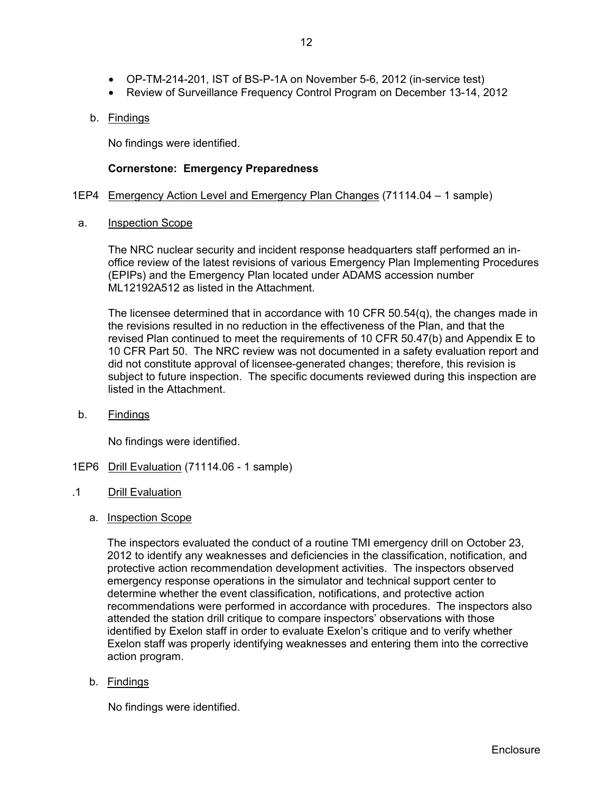- OP-TM-214-201, IST of BS-P-1A on November 5-6, 2012 (in-service test)
- Review of Surveillance Frequency Control Program on December 13-14, 2012

### b. Findings

No findings were identified.

### **Cornerstone: Emergency Preparedness**

#### 1EP4 Emergency Action Level and Emergency Plan Changes (71114.04 – 1 sample)

#### a. Inspection Scope

The NRC nuclear security and incident response headquarters staff performed an inoffice review of the latest revisions of various Emergency Plan Implementing Procedures (EPIPs) and the Emergency Plan located under ADAMS accession number ML12192A512 as listed in the Attachment.

The licensee determined that in accordance with 10 CFR 50.54(q), the changes made in the revisions resulted in no reduction in the effectiveness of the Plan, and that the revised Plan continued to meet the requirements of 10 CFR 50.47(b) and Appendix E to 10 CFR Part 50. The NRC review was not documented in a safety evaluation report and did not constitute approval of licensee-generated changes; therefore, this revision is subject to future inspection. The specific documents reviewed during this inspection are listed in the Attachment.

b. Findings

No findings were identified.

- 1EP6 Drill Evaluation (71114.06 1 sample)
- .1 Drill Evaluation
	- a. Inspection Scope

The inspectors evaluated the conduct of a routine TMI emergency drill on October 23, 2012 to identify any weaknesses and deficiencies in the classification, notification, and protective action recommendation development activities. The inspectors observed emergency response operations in the simulator and technical support center to determine whether the event classification, notifications, and protective action recommendations were performed in accordance with procedures. The inspectors also attended the station drill critique to compare inspectors' observations with those identified by Exelon staff in order to evaluate Exelon's critique and to verify whether Exelon staff was properly identifying weaknesses and entering them into the corrective action program.

b. Findings

No findings were identified.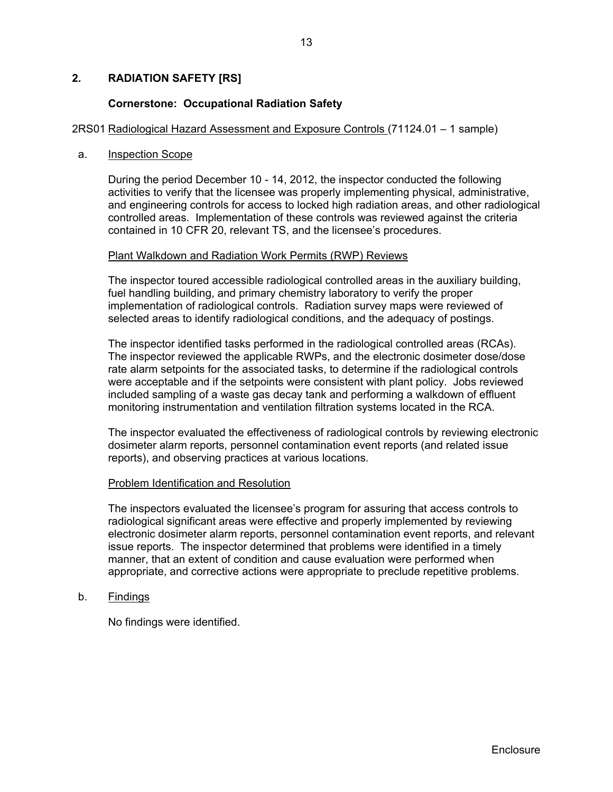### **2. RADIATION SAFETY [RS]**

#### **Cornerstone: Occupational Radiation Safety**

#### 2RS01 Radiological Hazard Assessment and Exposure Controls (71124.01 – 1 sample)

#### a. Inspection Scope

During the period December 10 - 14, 2012, the inspector conducted the following activities to verify that the licensee was properly implementing physical, administrative, and engineering controls for access to locked high radiation areas, and other radiological controlled areas. Implementation of these controls was reviewed against the criteria contained in 10 CFR 20, relevant TS, and the licensee's procedures.

#### Plant Walkdown and Radiation Work Permits (RWP) Reviews

 The inspector toured accessible radiological controlled areas in the auxiliary building, fuel handling building, and primary chemistry laboratory to verify the proper implementation of radiological controls. Radiation survey maps were reviewed of selected areas to identify radiological conditions, and the adequacy of postings.

 The inspector identified tasks performed in the radiological controlled areas (RCAs). The inspector reviewed the applicable RWPs, and the electronic dosimeter dose/dose rate alarm setpoints for the associated tasks, to determine if the radiological controls were acceptable and if the setpoints were consistent with plant policy. Jobs reviewed included sampling of a waste gas decay tank and performing a walkdown of effluent monitoring instrumentation and ventilation filtration systems located in the RCA.

 The inspector evaluated the effectiveness of radiological controls by reviewing electronic dosimeter alarm reports, personnel contamination event reports (and related issue reports), and observing practices at various locations.

#### Problem Identification and Resolution

 The inspectors evaluated the licensee's program for assuring that access controls to radiological significant areas were effective and properly implemented by reviewing electronic dosimeter alarm reports, personnel contamination event reports, and relevant issue reports. The inspector determined that problems were identified in a timely manner, that an extent of condition and cause evaluation were performed when appropriate, and corrective actions were appropriate to preclude repetitive problems.

b. Findings

No findings were identified.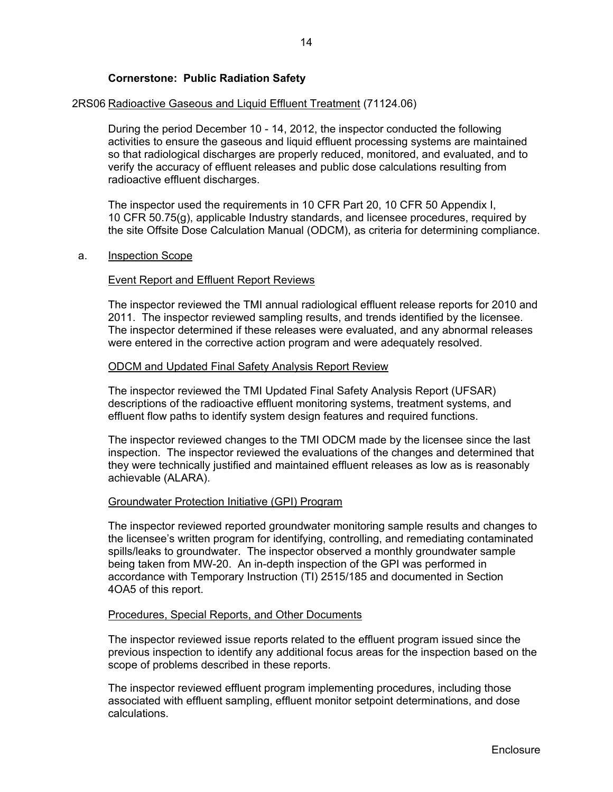### **Cornerstone: Public Radiation Safety**

#### 2RS06 Radioactive Gaseous and Liquid Effluent Treatment (71124.06)

During the period December 10 - 14, 2012, the inspector conducted the following activities to ensure the gaseous and liquid effluent processing systems are maintained so that radiological discharges are properly reduced, monitored, and evaluated, and to verify the accuracy of effluent releases and public dose calculations resulting from radioactive effluent discharges.

The inspector used the requirements in 10 CFR Part 20, 10 CFR 50 Appendix I, 10 CFR 50.75(g), applicable Industry standards, and licensee procedures, required by the site Offsite Dose Calculation Manual (ODCM), as criteria for determining compliance.

#### a. Inspection Scope

#### **Event Report and Effluent Report Reviews**

The inspector reviewed the TMI annual radiological effluent release reports for 2010 and 2011. The inspector reviewed sampling results, and trends identified by the licensee. The inspector determined if these releases were evaluated, and any abnormal releases were entered in the corrective action program and were adequately resolved.

#### ODCM and Updated Final Safety Analysis Report Review

The inspector reviewed the TMI Updated Final Safety Analysis Report (UFSAR) descriptions of the radioactive effluent monitoring systems, treatment systems, and effluent flow paths to identify system design features and required functions.

The inspector reviewed changes to the TMI ODCM made by the licensee since the last inspection. The inspector reviewed the evaluations of the changes and determined that they were technically justified and maintained effluent releases as low as is reasonably achievable (ALARA).

#### Groundwater Protection Initiative (GPI) Program

The inspector reviewed reported groundwater monitoring sample results and changes to the licensee's written program for identifying, controlling, and remediating contaminated spills/leaks to groundwater. The inspector observed a monthly groundwater sample being taken from MW-20. An in-depth inspection of the GPI was performed in accordance with Temporary Instruction (TI) 2515/185 and documented in Section 4OA5 of this report.

#### Procedures, Special Reports, and Other Documents

The inspector reviewed issue reports related to the effluent program issued since the previous inspection to identify any additional focus areas for the inspection based on the scope of problems described in these reports.

The inspector reviewed effluent program implementing procedures, including those associated with effluent sampling, effluent monitor setpoint determinations, and dose calculations.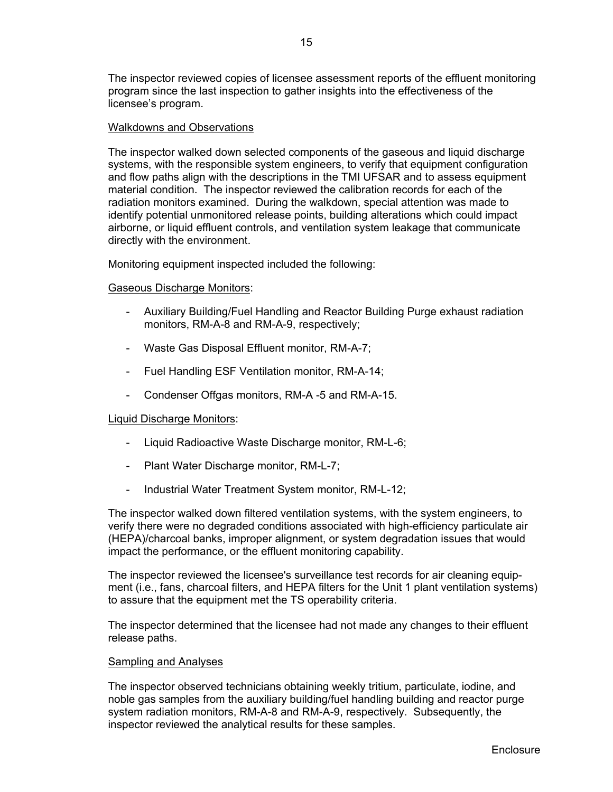The inspector reviewed copies of licensee assessment reports of the effluent monitoring program since the last inspection to gather insights into the effectiveness of the licensee's program.

#### Walkdowns and Observations

The inspector walked down selected components of the gaseous and liquid discharge systems, with the responsible system engineers, to verify that equipment configuration and flow paths align with the descriptions in the TMI UFSAR and to assess equipment material condition. The inspector reviewed the calibration records for each of the radiation monitors examined. During the walkdown, special attention was made to identify potential unmonitored release points, building alterations which could impact airborne, or liquid effluent controls, and ventilation system leakage that communicate directly with the environment.

Monitoring equipment inspected included the following:

#### Gaseous Discharge Monitors:

- Auxiliary Building/Fuel Handling and Reactor Building Purge exhaust radiation monitors, RM-A-8 and RM-A-9, respectively;
- Waste Gas Disposal Effluent monitor, RM-A-7;
- Fuel Handling ESF Ventilation monitor, RM-A-14;
- Condenser Offgas monitors, RM-A -5 and RM-A-15.

#### Liquid Discharge Monitors:

- Liquid Radioactive Waste Discharge monitor, RM-L-6;
- Plant Water Discharge monitor, RM-L-7;
- Industrial Water Treatment System monitor, RM-L-12;

The inspector walked down filtered ventilation systems, with the system engineers, to verify there were no degraded conditions associated with high-efficiency particulate air (HEPA)/charcoal banks, improper alignment, or system degradation issues that would impact the performance, or the effluent monitoring capability.

The inspector reviewed the licensee's surveillance test records for air cleaning equipment (i.e., fans, charcoal filters, and HEPA filters for the Unit 1 plant ventilation systems) to assure that the equipment met the TS operability criteria.

The inspector determined that the licensee had not made any changes to their effluent release paths.

#### Sampling and Analyses

The inspector observed technicians obtaining weekly tritium, particulate, iodine, and noble gas samples from the auxiliary building/fuel handling building and reactor purge system radiation monitors, RM-A-8 and RM-A-9, respectively. Subsequently, the inspector reviewed the analytical results for these samples.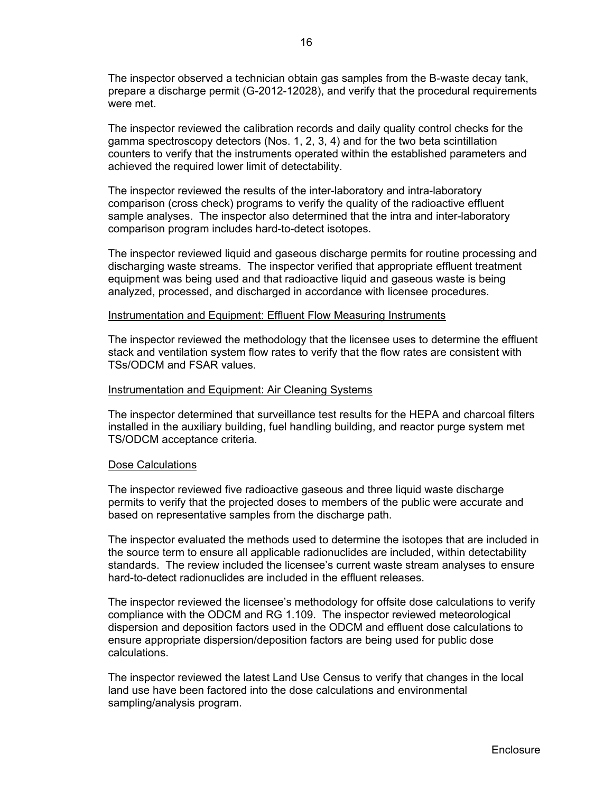The inspector observed a technician obtain gas samples from the B-waste decay tank, prepare a discharge permit (G-2012-12028), and verify that the procedural requirements were met

The inspector reviewed the calibration records and daily quality control checks for the gamma spectroscopy detectors (Nos. 1, 2, 3, 4) and for the two beta scintillation counters to verify that the instruments operated within the established parameters and achieved the required lower limit of detectability.

The inspector reviewed the results of the inter-laboratory and intra-laboratory comparison (cross check) programs to verify the quality of the radioactive effluent sample analyses. The inspector also determined that the intra and inter-laboratory comparison program includes hard-to-detect isotopes.

The inspector reviewed liquid and gaseous discharge permits for routine processing and discharging waste streams. The inspector verified that appropriate effluent treatment equipment was being used and that radioactive liquid and gaseous waste is being analyzed, processed, and discharged in accordance with licensee procedures.

#### Instrumentation and Equipment: Effluent Flow Measuring Instruments

The inspector reviewed the methodology that the licensee uses to determine the effluent stack and ventilation system flow rates to verify that the flow rates are consistent with TSs/ODCM and FSAR values.

#### Instrumentation and Equipment: Air Cleaning Systems

The inspector determined that surveillance test results for the HEPA and charcoal filters installed in the auxiliary building, fuel handling building, and reactor purge system met TS/ODCM acceptance criteria.

#### Dose Calculations

The inspector reviewed five radioactive gaseous and three liquid waste discharge permits to verify that the projected doses to members of the public were accurate and based on representative samples from the discharge path.

The inspector evaluated the methods used to determine the isotopes that are included in the source term to ensure all applicable radionuclides are included, within detectability standards. The review included the licensee's current waste stream analyses to ensure hard-to-detect radionuclides are included in the effluent releases.

The inspector reviewed the licensee's methodology for offsite dose calculations to verify compliance with the ODCM and RG 1.109. The inspector reviewed meteorological dispersion and deposition factors used in the ODCM and effluent dose calculations to ensure appropriate dispersion/deposition factors are being used for public dose calculations.

The inspector reviewed the latest Land Use Census to verify that changes in the local land use have been factored into the dose calculations and environmental sampling/analysis program.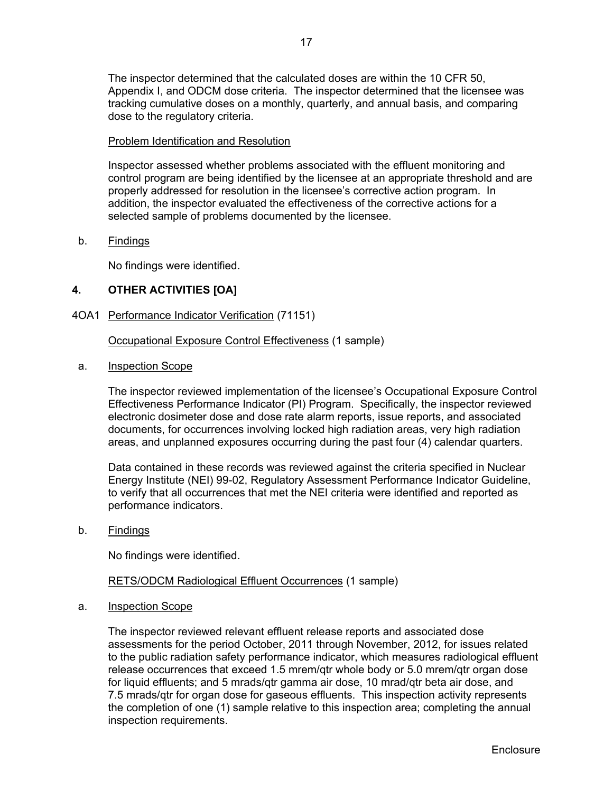The inspector determined that the calculated doses are within the 10 CFR 50, Appendix I, and ODCM dose criteria. The inspector determined that the licensee was tracking cumulative doses on a monthly, quarterly, and annual basis, and comparing dose to the regulatory criteria.

### Problem Identification and Resolution

Inspector assessed whether problems associated with the effluent monitoring and control program are being identified by the licensee at an appropriate threshold and are properly addressed for resolution in the licensee's corrective action program. In addition, the inspector evaluated the effectiveness of the corrective actions for a selected sample of problems documented by the licensee.

### b. Findings

No findings were identified.

## **4. OTHER ACTIVITIES [OA]**

4OA1 Performance Indicator Verification (71151)

Occupational Exposure Control Effectiveness (1 sample)

a. Inspection Scope

The inspector reviewed implementation of the licensee's Occupational Exposure Control Effectiveness Performance Indicator (PI) Program. Specifically, the inspector reviewed electronic dosimeter dose and dose rate alarm reports, issue reports, and associated documents, for occurrences involving locked high radiation areas, very high radiation areas, and unplanned exposures occurring during the past four (4) calendar quarters.

Data contained in these records was reviewed against the criteria specified in Nuclear Energy Institute (NEI) 99-02, Regulatory Assessment Performance Indicator Guideline, to verify that all occurrences that met the NEI criteria were identified and reported as performance indicators.

b. Findings

No findings were identified.

## RETS/ODCM Radiological Effluent Occurrences (1 sample)

a. Inspection Scope

The inspector reviewed relevant effluent release reports and associated dose assessments for the period October, 2011 through November, 2012, for issues related to the public radiation safety performance indicator, which measures radiological effluent release occurrences that exceed 1.5 mrem/qtr whole body or 5.0 mrem/qtr organ dose for liquid effluents; and 5 mrads/qtr gamma air dose, 10 mrad/qtr beta air dose, and 7.5 mrads/qtr for organ dose for gaseous effluents. This inspection activity represents the completion of one (1) sample relative to this inspection area; completing the annual inspection requirements.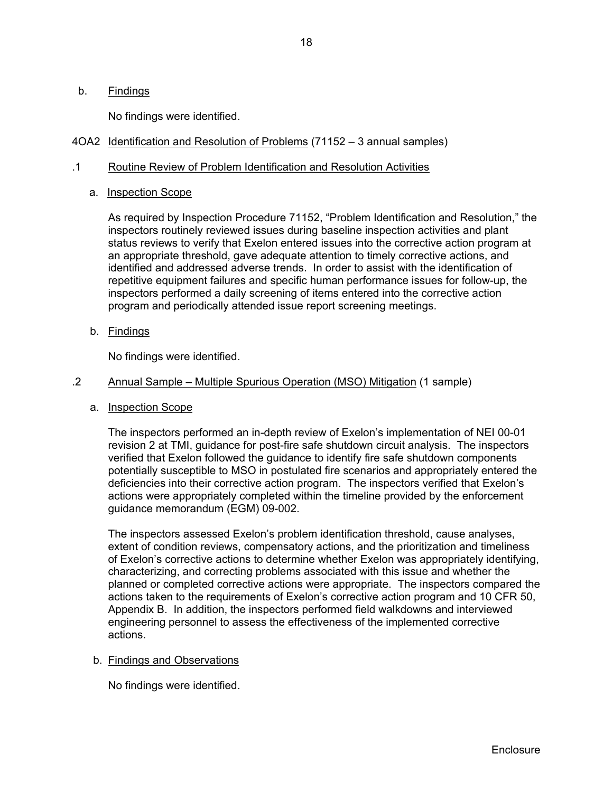### b. Findings

No findings were identified.

4OA2 Identification and Resolution of Problems (71152 – 3 annual samples)

#### .1 Routine Review of Problem Identification and Resolution Activities

### a. Inspection Scope

As required by Inspection Procedure 71152, "Problem Identification and Resolution," the inspectors routinely reviewed issues during baseline inspection activities and plant status reviews to verify that Exelon entered issues into the corrective action program at an appropriate threshold, gave adequate attention to timely corrective actions, and identified and addressed adverse trends. In order to assist with the identification of repetitive equipment failures and specific human performance issues for follow-up, the inspectors performed a daily screening of items entered into the corrective action program and periodically attended issue report screening meetings.

b. Findings

No findings were identified.

#### .2 Annual Sample – Multiple Spurious Operation (MSO) Mitigation (1 sample)

a. Inspection Scope

The inspectors performed an in-depth review of Exelon's implementation of NEI 00-01 revision 2 at TMI, guidance for post-fire safe shutdown circuit analysis. The inspectors verified that Exelon followed the guidance to identify fire safe shutdown components potentially susceptible to MSO in postulated fire scenarios and appropriately entered the deficiencies into their corrective action program. The inspectors verified that Exelon's actions were appropriately completed within the timeline provided by the enforcement guidance memorandum (EGM) 09-002.

The inspectors assessed Exelon's problem identification threshold, cause analyses, extent of condition reviews, compensatory actions, and the prioritization and timeliness of Exelon's corrective actions to determine whether Exelon was appropriately identifying, characterizing, and correcting problems associated with this issue and whether the planned or completed corrective actions were appropriate. The inspectors compared the actions taken to the requirements of Exelon's corrective action program and 10 CFR 50, Appendix B. In addition, the inspectors performed field walkdowns and interviewed engineering personnel to assess the effectiveness of the implemented corrective actions.

#### b. Findings and Observations

No findings were identified.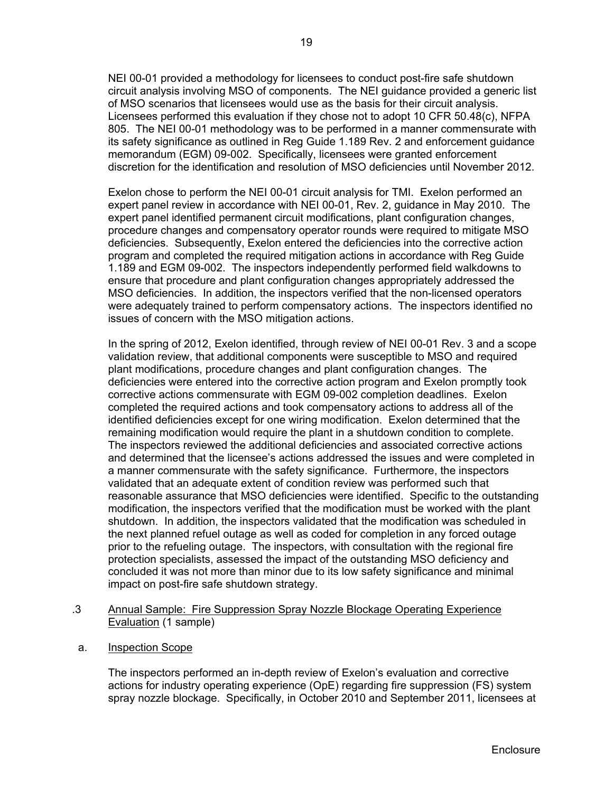NEI 00-01 provided a methodology for licensees to conduct post-fire safe shutdown circuit analysis involving MSO of components. The NEI guidance provided a generic list of MSO scenarios that licensees would use as the basis for their circuit analysis. Licensees performed this evaluation if they chose not to adopt 10 CFR 50.48(c), NFPA 805. The NEI 00-01 methodology was to be performed in a manner commensurate with its safety significance as outlined in Reg Guide 1.189 Rev. 2 and enforcement guidance memorandum (EGM) 09-002. Specifically, licensees were granted enforcement discretion for the identification and resolution of MSO deficiencies until November 2012.

Exelon chose to perform the NEI 00-01 circuit analysis for TMI. Exelon performed an expert panel review in accordance with NEI 00-01, Rev. 2, guidance in May 2010. The expert panel identified permanent circuit modifications, plant configuration changes, procedure changes and compensatory operator rounds were required to mitigate MSO deficiencies. Subsequently, Exelon entered the deficiencies into the corrective action program and completed the required mitigation actions in accordance with Reg Guide 1.189 and EGM 09-002. The inspectors independently performed field walkdowns to ensure that procedure and plant configuration changes appropriately addressed the MSO deficiencies. In addition, the inspectors verified that the non-licensed operators were adequately trained to perform compensatory actions. The inspectors identified no issues of concern with the MSO mitigation actions.

In the spring of 2012, Exelon identified, through review of NEI 00-01 Rev. 3 and a scope validation review, that additional components were susceptible to MSO and required plant modifications, procedure changes and plant configuration changes. The deficiencies were entered into the corrective action program and Exelon promptly took corrective actions commensurate with EGM 09-002 completion deadlines. Exelon completed the required actions and took compensatory actions to address all of the identified deficiencies except for one wiring modification. Exelon determined that the remaining modification would require the plant in a shutdown condition to complete. The inspectors reviewed the additional deficiencies and associated corrective actions and determined that the licensee's actions addressed the issues and were completed in a manner commensurate with the safety significance. Furthermore, the inspectors validated that an adequate extent of condition review was performed such that reasonable assurance that MSO deficiencies were identified. Specific to the outstanding modification, the inspectors verified that the modification must be worked with the plant shutdown. In addition, the inspectors validated that the modification was scheduled in the next planned refuel outage as well as coded for completion in any forced outage prior to the refueling outage. The inspectors, with consultation with the regional fire protection specialists, assessed the impact of the outstanding MSO deficiency and concluded it was not more than minor due to its low safety significance and minimal impact on post-fire safe shutdown strategy.

### .3 Annual Sample: Fire Suppression Spray Nozzle Blockage Operating Experience Evaluation (1 sample)

a. Inspection Scope

The inspectors performed an in-depth review of Exelon's evaluation and corrective actions for industry operating experience (OpE) regarding fire suppression (FS) system spray nozzle blockage. Specifically, in October 2010 and September 2011, licensees at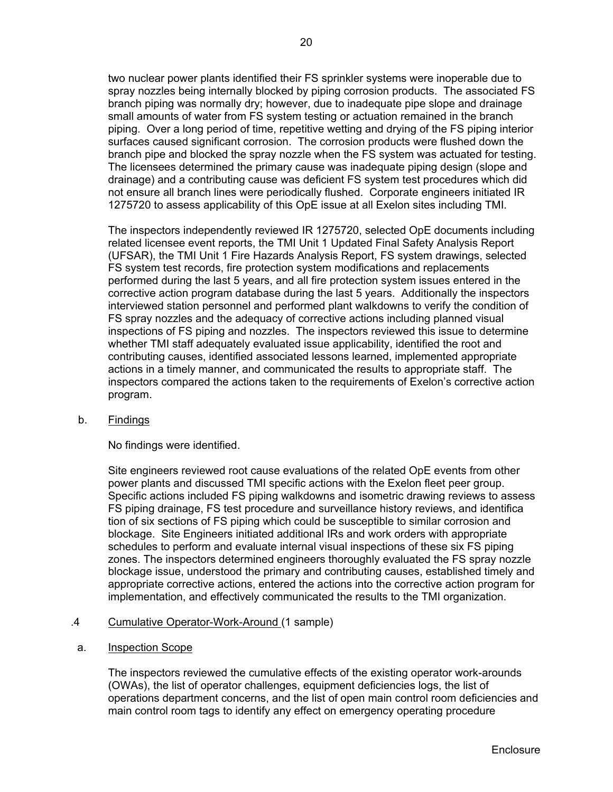two nuclear power plants identified their FS sprinkler systems were inoperable due to spray nozzles being internally blocked by piping corrosion products. The associated FS branch piping was normally dry; however, due to inadequate pipe slope and drainage small amounts of water from FS system testing or actuation remained in the branch piping. Over a long period of time, repetitive wetting and drying of the FS piping interior surfaces caused significant corrosion. The corrosion products were flushed down the branch pipe and blocked the spray nozzle when the FS system was actuated for testing. The licensees determined the primary cause was inadequate piping design (slope and drainage) and a contributing cause was deficient FS system test procedures which did not ensure all branch lines were periodically flushed. Corporate engineers initiated IR 1275720 to assess applicability of this OpE issue at all Exelon sites including TMI*.*

The inspectors independently reviewed IR 1275720, selected OpE documents including related licensee event reports, the TMI Unit 1 Updated Final Safety Analysis Report (UFSAR), the TMI Unit 1 Fire Hazards Analysis Report, FS system drawings, selected FS system test records, fire protection system modifications and replacements performed during the last 5 years, and all fire protection system issues entered in the corrective action program database during the last 5 years. Additionally the inspectors interviewed station personnel and performed plant walkdowns to verify the condition of FS spray nozzles and the adequacy of corrective actions including planned visual inspections of FS piping and nozzles. The inspectors reviewed this issue to determine whether TMI staff adequately evaluated issue applicability, identified the root and contributing causes, identified associated lessons learned, implemented appropriate actions in a timely manner, and communicated the results to appropriate staff. The inspectors compared the actions taken to the requirements of Exelon's corrective action program.

b. Findings

No findings were identified.

Site engineers reviewed root cause evaluations of the related OpE events from other power plants and discussed TMI specific actions with the Exelon fleet peer group. Specific actions included FS piping walkdowns and isometric drawing reviews to assess FS piping drainage, FS test procedure and surveillance history reviews, and identifica tion of six sections of FS piping which could be susceptible to similar corrosion and blockage. Site Engineers initiated additional IRs and work orders with appropriate schedules to perform and evaluate internal visual inspections of these six FS piping zones. The inspectors determined engineers thoroughly evaluated the FS spray nozzle blockage issue, understood the primary and contributing causes, established timely and appropriate corrective actions, entered the actions into the corrective action program for implementation, and effectively communicated the results to the TMI organization.

- .4 Cumulative Operator-Work-Around (1 sample)
- a. Inspection Scope

The inspectors reviewed the cumulative effects of the existing operator work-arounds (OWAs), the list of operator challenges, equipment deficiencies logs, the list of operations department concerns, and the list of open main control room deficiencies and main control room tags to identify any effect on emergency operating procedure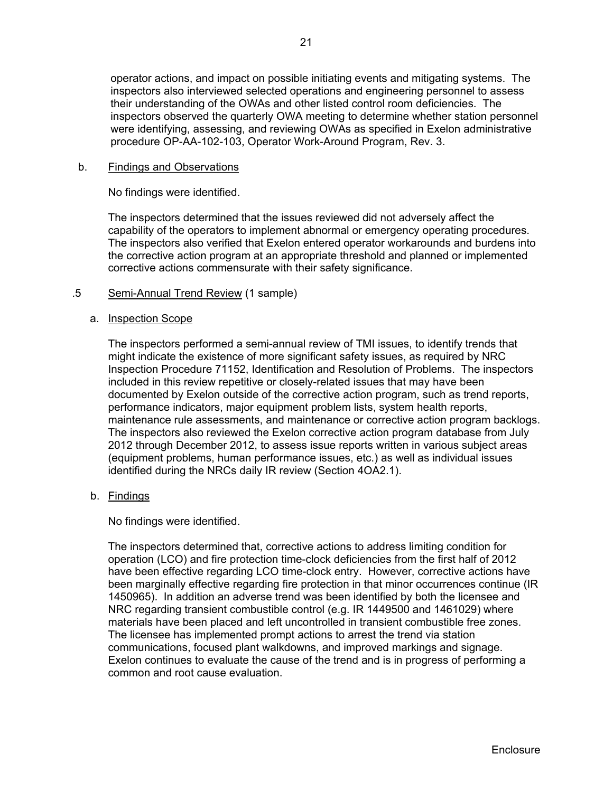operator actions, and impact on possible initiating events and mitigating systems. The inspectors also interviewed selected operations and engineering personnel to assess their understanding of the OWAs and other listed control room deficiencies. The inspectors observed the quarterly OWA meeting to determine whether station personnel were identifying, assessing, and reviewing OWAs as specified in Exelon administrative procedure OP-AA-102-103, Operator Work-Around Program, Rev. 3.

#### b. Findings and Observations

No findings were identified.

The inspectors determined that the issues reviewed did not adversely affect the capability of the operators to implement abnormal or emergency operating procedures. The inspectors also verified that Exelon entered operator workarounds and burdens into the corrective action program at an appropriate threshold and planned or implemented corrective actions commensurate with their safety significance.

### .5 Semi-Annual Trend Review (1 sample)

#### a. Inspection Scope

The inspectors performed a semi-annual review of TMI issues, to identify trends that might indicate the existence of more significant safety issues, as required by NRC Inspection Procedure 71152, Identification and Resolution of Problems. The inspectors included in this review repetitive or closely-related issues that may have been documented by Exelon outside of the corrective action program, such as trend reports, performance indicators, major equipment problem lists, system health reports, maintenance rule assessments, and maintenance or corrective action program backlogs. The inspectors also reviewed the Exelon corrective action program database from July 2012 through December 2012, to assess issue reports written in various subject areas (equipment problems, human performance issues, etc.) as well as individual issues identified during the NRCs daily IR review (Section 4OA2.1).

#### b. Findings

No findings were identified.

The inspectors determined that, corrective actions to address limiting condition for operation (LCO) and fire protection time-clock deficiencies from the first half of 2012 have been effective regarding LCO time-clock entry. However, corrective actions have been marginally effective regarding fire protection in that minor occurrences continue (IR 1450965). In addition an adverse trend was been identified by both the licensee and NRC regarding transient combustible control (e.g. IR 1449500 and 1461029) where materials have been placed and left uncontrolled in transient combustible free zones. The licensee has implemented prompt actions to arrest the trend via station communications, focused plant walkdowns, and improved markings and signage. Exelon continues to evaluate the cause of the trend and is in progress of performing a common and root cause evaluation.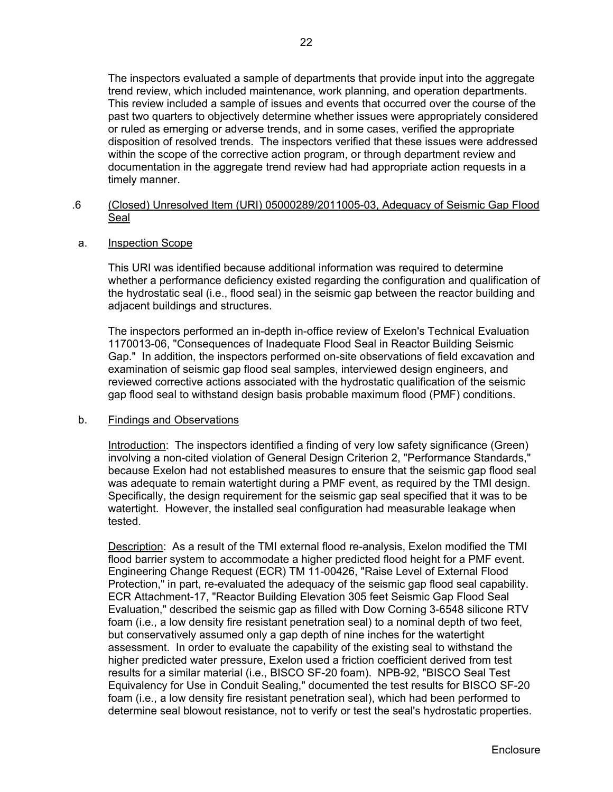The inspectors evaluated a sample of departments that provide input into the aggregate trend review, which included maintenance, work planning, and operation departments. This review included a sample of issues and events that occurred over the course of the past two quarters to objectively determine whether issues were appropriately considered or ruled as emerging or adverse trends, and in some cases, verified the appropriate disposition of resolved trends. The inspectors verified that these issues were addressed within the scope of the corrective action program, or through department review and documentation in the aggregate trend review had had appropriate action requests in a timely manner.

- .6 (Closed) Unresolved Item (URI) 05000289/2011005-03, Adequacy of Seismic Gap Flood Seal
- a. Inspection Scope

This URI was identified because additional information was required to determine whether a performance deficiency existed regarding the configuration and qualification of the hydrostatic seal (i.e., flood seal) in the seismic gap between the reactor building and adjacent buildings and structures.

The inspectors performed an in-depth in-office review of Exelon's Technical Evaluation 1170013-06, "Consequences of Inadequate Flood Seal in Reactor Building Seismic Gap." In addition, the inspectors performed on-site observations of field excavation and examination of seismic gap flood seal samples, interviewed design engineers, and reviewed corrective actions associated with the hydrostatic qualification of the seismic gap flood seal to withstand design basis probable maximum flood (PMF) conditions.

#### b. Findings and Observations

Introduction: The inspectors identified a finding of very low safety significance (Green) involving a non-cited violation of General Design Criterion 2, "Performance Standards," because Exelon had not established measures to ensure that the seismic gap flood seal was adequate to remain watertight during a PMF event, as required by the TMI design. Specifically, the design requirement for the seismic gap seal specified that it was to be watertight. However, the installed seal configuration had measurable leakage when tested.

Description: As a result of the TMI external flood re-analysis, Exelon modified the TMI flood barrier system to accommodate a higher predicted flood height for a PMF event. Engineering Change Request (ECR) TM 11-00426, "Raise Level of External Flood Protection," in part, re-evaluated the adequacy of the seismic gap flood seal capability. ECR Attachment-17, "Reactor Building Elevation 305 feet Seismic Gap Flood Seal Evaluation," described the seismic gap as filled with Dow Corning 3-6548 silicone RTV foam (i.e., a low density fire resistant penetration seal) to a nominal depth of two feet, but conservatively assumed only a gap depth of nine inches for the watertight assessment. In order to evaluate the capability of the existing seal to withstand the higher predicted water pressure, Exelon used a friction coefficient derived from test results for a similar material (i.e., BISCO SF-20 foam). NPB-92, "BISCO Seal Test Equivalency for Use in Conduit Sealing," documented the test results for BISCO SF-20 foam (i.e., a low density fire resistant penetration seal), which had been performed to determine seal blowout resistance, not to verify or test the seal's hydrostatic properties.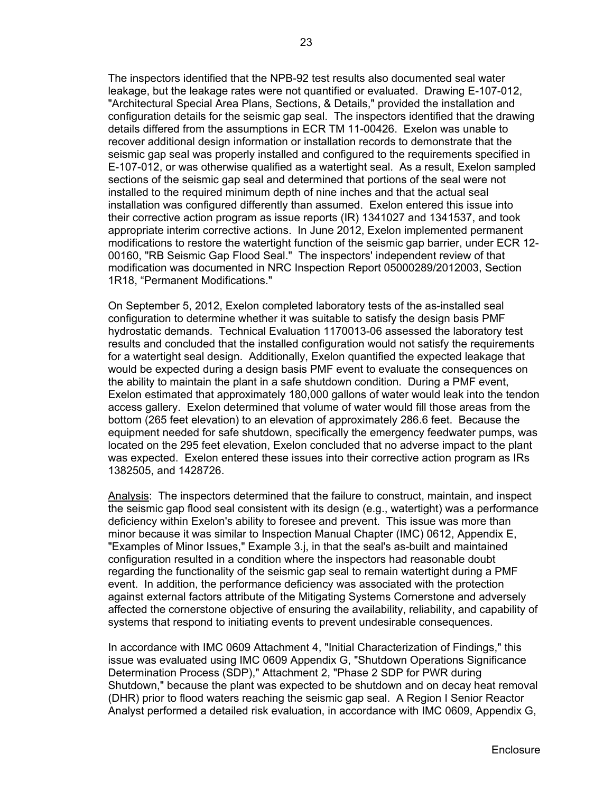The inspectors identified that the NPB-92 test results also documented seal water leakage, but the leakage rates were not quantified or evaluated. Drawing E-107-012, "Architectural Special Area Plans, Sections, & Details," provided the installation and configuration details for the seismic gap seal. The inspectors identified that the drawing details differed from the assumptions in ECR TM 11-00426. Exelon was unable to recover additional design information or installation records to demonstrate that the seismic gap seal was properly installed and configured to the requirements specified in E-107-012, or was otherwise qualified as a watertight seal. As a result, Exelon sampled sections of the seismic gap seal and determined that portions of the seal were not installed to the required minimum depth of nine inches and that the actual seal installation was configured differently than assumed. Exelon entered this issue into their corrective action program as issue reports (IR) 1341027 and 1341537, and took appropriate interim corrective actions. In June 2012, Exelon implemented permanent modifications to restore the watertight function of the seismic gap barrier, under ECR 12- 00160, "RB Seismic Gap Flood Seal." The inspectors' independent review of that modification was documented in NRC Inspection Report 05000289/2012003, Section 1R18, "Permanent Modifications."

On September 5, 2012, Exelon completed laboratory tests of the as-installed seal configuration to determine whether it was suitable to satisfy the design basis PMF hydrostatic demands. Technical Evaluation 1170013-06 assessed the laboratory test results and concluded that the installed configuration would not satisfy the requirements for a watertight seal design. Additionally, Exelon quantified the expected leakage that would be expected during a design basis PMF event to evaluate the consequences on the ability to maintain the plant in a safe shutdown condition. During a PMF event, Exelon estimated that approximately 180,000 gallons of water would leak into the tendon access gallery. Exelon determined that volume of water would fill those areas from the bottom (265 feet elevation) to an elevation of approximately 286.6 feet. Because the equipment needed for safe shutdown, specifically the emergency feedwater pumps, was located on the 295 feet elevation, Exelon concluded that no adverse impact to the plant was expected. Exelon entered these issues into their corrective action program as IRs 1382505, and 1428726.

Analysis: The inspectors determined that the failure to construct, maintain, and inspect the seismic gap flood seal consistent with its design (e.g., watertight) was a performance deficiency within Exelon's ability to foresee and prevent. This issue was more than minor because it was similar to Inspection Manual Chapter (IMC) 0612, Appendix E, "Examples of Minor Issues," Example 3.j, in that the seal's as-built and maintained configuration resulted in a condition where the inspectors had reasonable doubt regarding the functionality of the seismic gap seal to remain watertight during a PMF event. In addition, the performance deficiency was associated with the protection against external factors attribute of the Mitigating Systems Cornerstone and adversely affected the cornerstone objective of ensuring the availability, reliability, and capability of systems that respond to initiating events to prevent undesirable consequences.

In accordance with IMC 0609 Attachment 4, "Initial Characterization of Findings," this issue was evaluated using IMC 0609 Appendix G, "Shutdown Operations Significance Determination Process (SDP)," Attachment 2, "Phase 2 SDP for PWR during Shutdown," because the plant was expected to be shutdown and on decay heat removal (DHR) prior to flood waters reaching the seismic gap seal. A Region I Senior Reactor Analyst performed a detailed risk evaluation, in accordance with IMC 0609, Appendix G,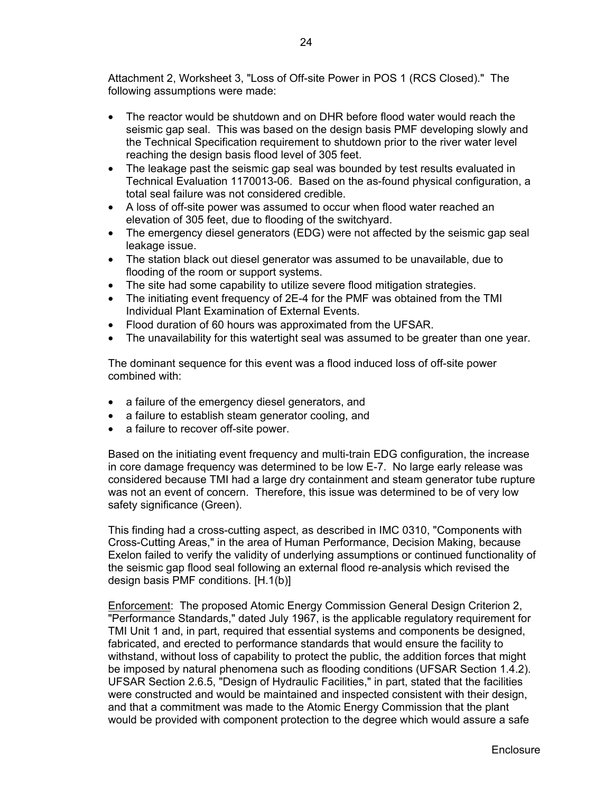Attachment 2, Worksheet 3, "Loss of Off-site Power in POS 1 (RCS Closed)." The following assumptions were made:

- The reactor would be shutdown and on DHR before flood water would reach the seismic gap seal. This was based on the design basis PMF developing slowly and the Technical Specification requirement to shutdown prior to the river water level reaching the design basis flood level of 305 feet.
- The leakage past the seismic gap seal was bounded by test results evaluated in Technical Evaluation 1170013-06. Based on the as-found physical configuration, a total seal failure was not considered credible.
- A loss of off-site power was assumed to occur when flood water reached an elevation of 305 feet, due to flooding of the switchyard.
- The emergency diesel generators (EDG) were not affected by the seismic gap seal leakage issue.
- The station black out diesel generator was assumed to be unavailable, due to flooding of the room or support systems.
- The site had some capability to utilize severe flood mitigation strategies.
- The initiating event frequency of 2E-4 for the PMF was obtained from the TMI Individual Plant Examination of External Events.
- Flood duration of 60 hours was approximated from the UFSAR.
- The unavailability for this watertight seal was assumed to be greater than one year.

The dominant sequence for this event was a flood induced loss of off-site power combined with:

- a failure of the emergency diesel generators, and
- a failure to establish steam generator cooling, and
- a failure to recover off-site power.

Based on the initiating event frequency and multi-train EDG configuration, the increase in core damage frequency was determined to be low E-7. No large early release was considered because TMI had a large dry containment and steam generator tube rupture was not an event of concern. Therefore, this issue was determined to be of very low safety significance (Green).

This finding had a cross-cutting aspect, as described in IMC 0310, "Components with Cross-Cutting Areas," in the area of Human Performance, Decision Making, because Exelon failed to verify the validity of underlying assumptions or continued functionality of the seismic gap flood seal following an external flood re-analysis which revised the design basis PMF conditions. [H.1(b)]

Enforcement: The proposed Atomic Energy Commission General Design Criterion 2, "Performance Standards," dated July 1967, is the applicable regulatory requirement for TMI Unit 1 and, in part, required that essential systems and components be designed, fabricated, and erected to performance standards that would ensure the facility to withstand, without loss of capability to protect the public, the addition forces that might be imposed by natural phenomena such as flooding conditions (UFSAR Section 1.4.2). UFSAR Section 2.6.5, "Design of Hydraulic Facilities," in part, stated that the facilities were constructed and would be maintained and inspected consistent with their design, and that a commitment was made to the Atomic Energy Commission that the plant would be provided with component protection to the degree which would assure a safe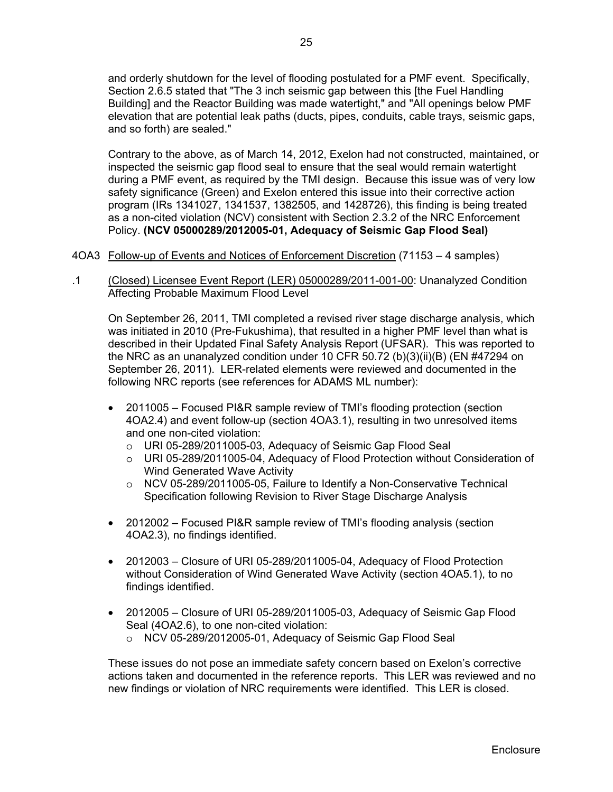and orderly shutdown for the level of flooding postulated for a PMF event. Specifically, Section 2.6.5 stated that "The 3 inch seismic gap between this [the Fuel Handling Building] and the Reactor Building was made watertight," and "All openings below PMF elevation that are potential leak paths (ducts, pipes, conduits, cable trays, seismic gaps, and so forth) are sealed."

Contrary to the above, as of March 14, 2012, Exelon had not constructed, maintained, or inspected the seismic gap flood seal to ensure that the seal would remain watertight during a PMF event, as required by the TMI design. Because this issue was of very low safety significance (Green) and Exelon entered this issue into their corrective action program (IRs 1341027, 1341537, 1382505, and 1428726), this finding is being treated as a non-cited violation (NCV) consistent with Section 2.3.2 of the NRC Enforcement Policy. **(NCV 05000289/2012005-01, Adequacy of Seismic Gap Flood Seal)**

- 4OA3 Follow-up of Events and Notices of Enforcement Discretion (71153 4 samples)
- .1 (Closed) Licensee Event Report (LER) 05000289/2011-001-00: Unanalyzed Condition Affecting Probable Maximum Flood Level

On September 26, 2011, TMI completed a revised river stage discharge analysis, which was initiated in 2010 (Pre-Fukushima), that resulted in a higher PMF level than what is described in their Updated Final Safety Analysis Report (UFSAR). This was reported to the NRC as an unanalyzed condition under 10 CFR 50.72 (b)(3)(ii)(B) (EN #47294 on September 26, 2011). LER-related elements were reviewed and documented in the following NRC reports (see references for ADAMS ML number):

- 2011005 Focused PI&R sample review of TMI's flooding protection (section 4OA2.4) and event follow-up (section 4OA3.1), resulting in two unresolved items and one non-cited violation:
	- o URI 05-289/2011005-03, Adequacy of Seismic Gap Flood Seal
	- o URI 05-289/2011005-04, Adequacy of Flood Protection without Consideration of Wind Generated Wave Activity
	- o NCV 05-289/2011005-05, Failure to Identify a Non-Conservative Technical Specification following Revision to River Stage Discharge Analysis
- 2012002 Focused PI&R sample review of TMI's flooding analysis (section 4OA2.3), no findings identified.
- 2012003 Closure of URI 05-289/2011005-04, Adequacy of Flood Protection without Consideration of Wind Generated Wave Activity (section 4OA5.1), to no findings identified.
- 2012005 Closure of URI 05-289/2011005-03, Adequacy of Seismic Gap Flood Seal (4OA2.6), to one non-cited violation:
	- o NCV 05-289/2012005-01, Adequacy of Seismic Gap Flood Seal

These issues do not pose an immediate safety concern based on Exelon's corrective actions taken and documented in the reference reports. This LER was reviewed and no new findings or violation of NRC requirements were identified. This LER is closed.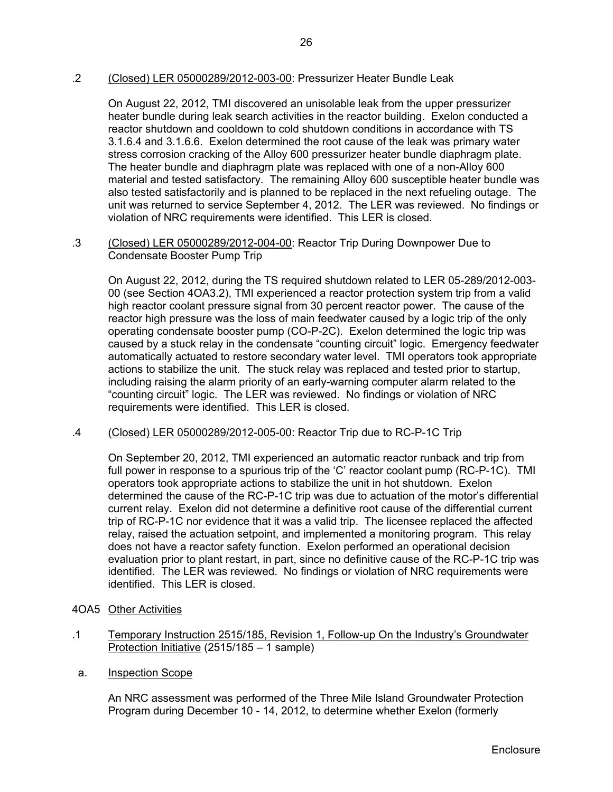.2 (Closed) LER 05000289/2012-003-00: Pressurizer Heater Bundle Leak

On August 22, 2012, TMI discovered an unisolable leak from the upper pressurizer heater bundle during leak search activities in the reactor building. Exelon conducted a reactor shutdown and cooldown to cold shutdown conditions in accordance with TS 3.1.6.4 and 3.1.6.6. Exelon determined the root cause of the leak was primary water stress corrosion cracking of the Alloy 600 pressurizer heater bundle diaphragm plate. The heater bundle and diaphragm plate was replaced with one of a non-Alloy 600 material and tested satisfactory. The remaining Alloy 600 susceptible heater bundle was also tested satisfactorily and is planned to be replaced in the next refueling outage. The unit was returned to service September 4, 2012. The LER was reviewed. No findings or violation of NRC requirements were identified. This LER is closed.

.3 (Closed) LER 05000289/2012-004-00: Reactor Trip During Downpower Due to Condensate Booster Pump Trip

On August 22, 2012, during the TS required shutdown related to LER 05-289/2012-003- 00 (see Section 4OA3.2), TMI experienced a reactor protection system trip from a valid high reactor coolant pressure signal from 30 percent reactor power. The cause of the reactor high pressure was the loss of main feedwater caused by a logic trip of the only operating condensate booster pump (CO-P-2C). Exelon determined the logic trip was caused by a stuck relay in the condensate "counting circuit" logic. Emergency feedwater automatically actuated to restore secondary water level. TMI operators took appropriate actions to stabilize the unit. The stuck relay was replaced and tested prior to startup, including raising the alarm priority of an early-warning computer alarm related to the "counting circuit" logic. The LER was reviewed. No findings or violation of NRC requirements were identified. This LER is closed.

.4 (Closed) LER 05000289/2012-005-00: Reactor Trip due to RC-P-1C Trip

On September 20, 2012, TMI experienced an automatic reactor runback and trip from full power in response to a spurious trip of the 'C' reactor coolant pump (RC-P-1C). TMI operators took appropriate actions to stabilize the unit in hot shutdown. Exelon determined the cause of the RC-P-1C trip was due to actuation of the motor's differential current relay. Exelon did not determine a definitive root cause of the differential current trip of RC-P-1C nor evidence that it was a valid trip. The licensee replaced the affected relay, raised the actuation setpoint, and implemented a monitoring program. This relay does not have a reactor safety function. Exelon performed an operational decision evaluation prior to plant restart, in part, since no definitive cause of the RC-P-1C trip was identified. The LER was reviewed. No findings or violation of NRC requirements were identified. This LER is closed.

- 4OA5 Other Activities
- .1 Temporary Instruction 2515/185, Revision 1, Follow-up On the Industry's Groundwater Protection Initiative (2515/185 – 1 sample)
- a. Inspection Scope

An NRC assessment was performed of the Three Mile Island Groundwater Protection Program during December 10 - 14, 2012, to determine whether Exelon (formerly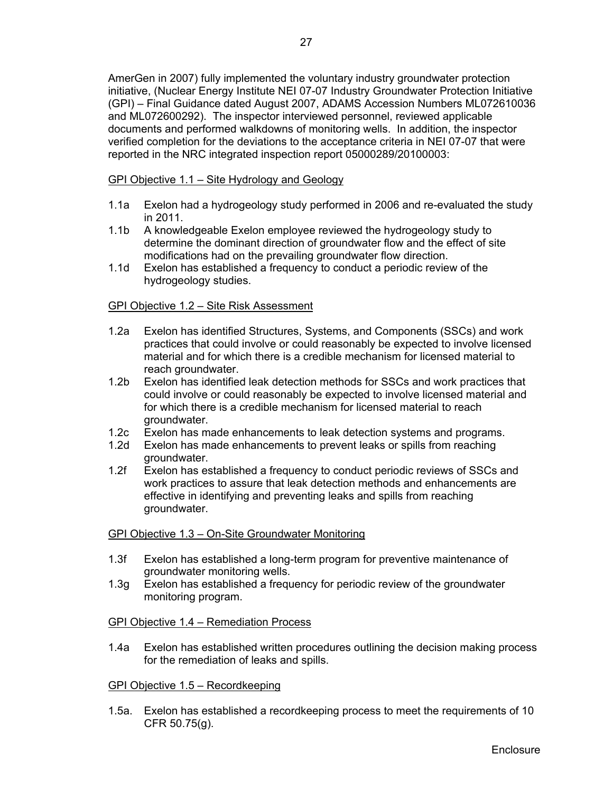AmerGen in 2007) fully implemented the voluntary industry groundwater protection initiative, (Nuclear Energy Institute NEI 07-07 Industry Groundwater Protection Initiative (GPI) – Final Guidance dated August 2007, ADAMS Accession Numbers ML072610036 and ML072600292). The inspector interviewed personnel, reviewed applicable documents and performed walkdowns of monitoring wells. In addition, the inspector verified completion for the deviations to the acceptance criteria in NEI 07-07 that were reported in the NRC integrated inspection report 05000289/20100003:

GPI Objective 1.1 – Site Hydrology and Geology

- 1.1a Exelon had a hydrogeology study performed in 2006 and re-evaluated the study in 2011.
- 1.1b A knowledgeable Exelon employee reviewed the hydrogeology study to determine the dominant direction of groundwater flow and the effect of site modifications had on the prevailing groundwater flow direction.
- 1.1d Exelon has established a frequency to conduct a periodic review of the hydrogeology studies.

## GPI Objective 1.2 – Site Risk Assessment

- 1.2a Exelon has identified Structures, Systems, and Components (SSCs) and work practices that could involve or could reasonably be expected to involve licensed material and for which there is a credible mechanism for licensed material to reach groundwater.
- 1.2b Exelon has identified leak detection methods for SSCs and work practices that could involve or could reasonably be expected to involve licensed material and for which there is a credible mechanism for licensed material to reach groundwater.
- 1.2c Exelon has made enhancements to leak detection systems and programs.
- 1.2d Exelon has made enhancements to prevent leaks or spills from reaching groundwater.
- 1.2f Exelon has established a frequency to conduct periodic reviews of SSCs and work practices to assure that leak detection methods and enhancements are effective in identifying and preventing leaks and spills from reaching groundwater.

#### GPI Objective 1.3 – On-Site Groundwater Monitoring

- 1.3f Exelon has established a long-term program for preventive maintenance of groundwater monitoring wells.
- 1.3g Exelon has established a frequency for periodic review of the groundwater monitoring program.

## GPI Objective 1.4 – Remediation Process

1.4a Exelon has established written procedures outlining the decision making process for the remediation of leaks and spills.

#### GPI Objective 1.5 – Recordkeeping

1.5a. Exelon has established a recordkeeping process to meet the requirements of 10 CFR 50.75(g).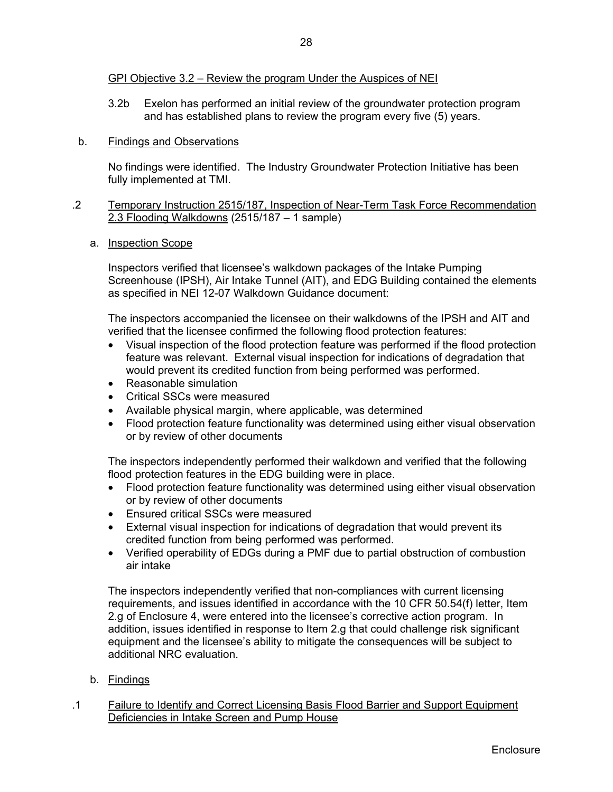3.2b Exelon has performed an initial review of the groundwater protection program and has established plans to review the program every five (5) years.

### b. Findings and Observations

No findings were identified. The Industry Groundwater Protection Initiative has been fully implemented at TMI.

### .2 Temporary Instruction 2515/187, Inspection of Near-Term Task Force Recommendation 2.3 Flooding Walkdowns (2515/187 – 1 sample)

a. Inspection Scope

Inspectors verified that licensee's walkdown packages of the Intake Pumping Screenhouse (IPSH), Air Intake Tunnel (AIT), and EDG Building contained the elements as specified in NEI 12-07 Walkdown Guidance document:

The inspectors accompanied the licensee on their walkdowns of the IPSH and AIT and verified that the licensee confirmed the following flood protection features:

- Visual inspection of the flood protection feature was performed if the flood protection feature was relevant. External visual inspection for indications of degradation that would prevent its credited function from being performed was performed.
- Reasonable simulation
- Critical SSCs were measured
- Available physical margin, where applicable, was determined
- Flood protection feature functionality was determined using either visual observation or by review of other documents

The inspectors independently performed their walkdown and verified that the following flood protection features in the EDG building were in place.

- Flood protection feature functionality was determined using either visual observation or by review of other documents
- Ensured critical SSCs were measured
- External visual inspection for indications of degradation that would prevent its credited function from being performed was performed.
- Verified operability of EDGs during a PMF due to partial obstruction of combustion air intake

The inspectors independently verified that non-compliances with current licensing requirements, and issues identified in accordance with the 10 CFR 50.54(f) letter, Item 2.g of Enclosure 4, were entered into the licensee's corrective action program. In addition, issues identified in response to Item 2.g that could challenge risk significant equipment and the licensee's ability to mitigate the consequences will be subject to additional NRC evaluation.

- b. Findings
- .1 Failure to Identify and Correct Licensing Basis Flood Barrier and Support Equipment Deficiencies in Intake Screen and Pump House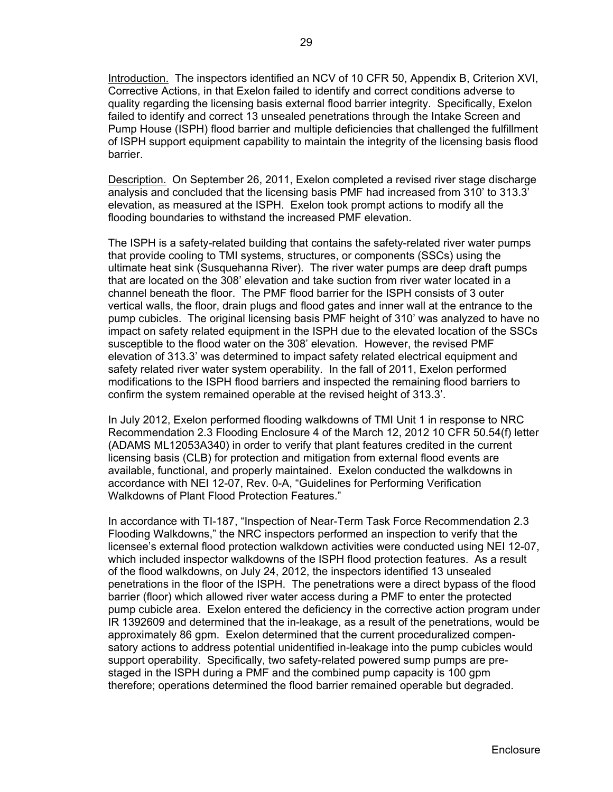Introduction. The inspectors identified an NCV of 10 CFR 50, Appendix B, Criterion XVI, Corrective Actions, in that Exelon failed to identify and correct conditions adverse to quality regarding the licensing basis external flood barrier integrity. Specifically, Exelon failed to identify and correct 13 unsealed penetrations through the Intake Screen and Pump House (ISPH) flood barrier and multiple deficiencies that challenged the fulfillment of ISPH support equipment capability to maintain the integrity of the licensing basis flood barrier.

Description. On September 26, 2011, Exelon completed a revised river stage discharge analysis and concluded that the licensing basis PMF had increased from 310' to 313.3' elevation, as measured at the ISPH. Exelon took prompt actions to modify all the flooding boundaries to withstand the increased PMF elevation.

The ISPH is a safety-related building that contains the safety-related river water pumps that provide cooling to TMI systems, structures, or components (SSCs) using the ultimate heat sink (Susquehanna River). The river water pumps are deep draft pumps that are located on the 308' elevation and take suction from river water located in a channel beneath the floor. The PMF flood barrier for the ISPH consists of 3 outer vertical walls, the floor, drain plugs and flood gates and inner wall at the entrance to the pump cubicles. The original licensing basis PMF height of 310' was analyzed to have no impact on safety related equipment in the ISPH due to the elevated location of the SSCs susceptible to the flood water on the 308' elevation. However, the revised PMF elevation of 313.3' was determined to impact safety related electrical equipment and safety related river water system operability. In the fall of 2011, Exelon performed modifications to the ISPH flood barriers and inspected the remaining flood barriers to confirm the system remained operable at the revised height of 313.3'.

In July 2012, Exelon performed flooding walkdowns of TMI Unit 1 in response to NRC Recommendation 2.3 Flooding Enclosure 4 of the March 12, 2012 10 CFR 50.54(f) letter (ADAMS ML12053A340) in order to verify that plant features credited in the current licensing basis (CLB) for protection and mitigation from external flood events are available, functional, and properly maintained. Exelon conducted the walkdowns in accordance with NEI 12-07, Rev. 0-A, "Guidelines for Performing Verification Walkdowns of Plant Flood Protection Features."

In accordance with TI-187, "Inspection of Near-Term Task Force Recommendation 2.3 Flooding Walkdowns," the NRC inspectors performed an inspection to verify that the licensee's external flood protection walkdown activities were conducted using NEI 12-07, which included inspector walkdowns of the ISPH flood protection features. As a result of the flood walkdowns, on July 24, 2012, the inspectors identified 13 unsealed penetrations in the floor of the ISPH. The penetrations were a direct bypass of the flood barrier (floor) which allowed river water access during a PMF to enter the protected pump cubicle area. Exelon entered the deficiency in the corrective action program under IR 1392609 and determined that the in-leakage, as a result of the penetrations, would be approximately 86 gpm. Exelon determined that the current proceduralized compensatory actions to address potential unidentified in-leakage into the pump cubicles would support operability. Specifically, two safety-related powered sump pumps are prestaged in the ISPH during a PMF and the combined pump capacity is 100 gpm therefore; operations determined the flood barrier remained operable but degraded.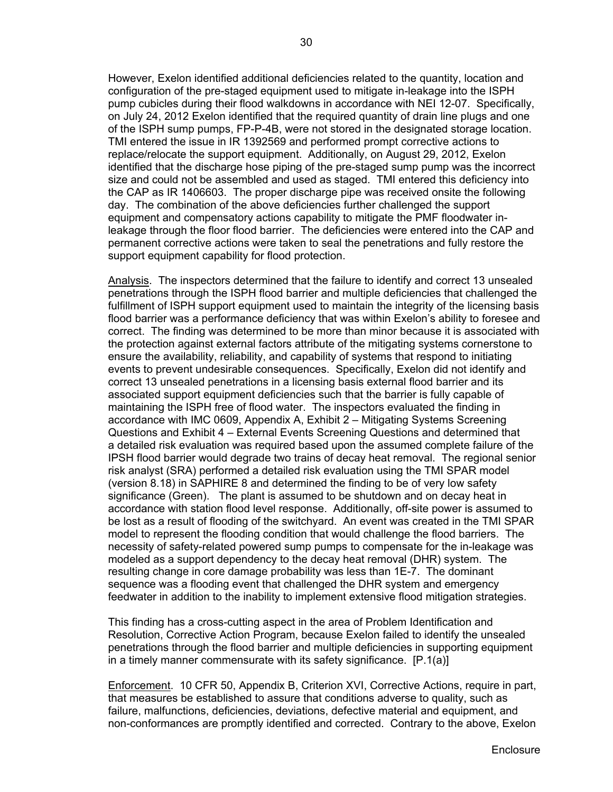However, Exelon identified additional deficiencies related to the quantity, location and configuration of the pre-staged equipment used to mitigate in-leakage into the ISPH pump cubicles during their flood walkdowns in accordance with NEI 12-07. Specifically, on July 24, 2012 Exelon identified that the required quantity of drain line plugs and one of the ISPH sump pumps, FP-P-4B, were not stored in the designated storage location. TMI entered the issue in IR 1392569 and performed prompt corrective actions to replace/relocate the support equipment. Additionally, on August 29, 2012, Exelon identified that the discharge hose piping of the pre-staged sump pump was the incorrect size and could not be assembled and used as staged. TMI entered this deficiency into the CAP as IR 1406603. The proper discharge pipe was received onsite the following day. The combination of the above deficiencies further challenged the support equipment and compensatory actions capability to mitigate the PMF floodwater inleakage through the floor flood barrier. The deficiencies were entered into the CAP and permanent corrective actions were taken to seal the penetrations and fully restore the support equipment capability for flood protection.

Analysis. The inspectors determined that the failure to identify and correct 13 unsealed penetrations through the ISPH flood barrier and multiple deficiencies that challenged the fulfillment of ISPH support equipment used to maintain the integrity of the licensing basis flood barrier was a performance deficiency that was within Exelon's ability to foresee and correct. The finding was determined to be more than minor because it is associated with the protection against external factors attribute of the mitigating systems cornerstone to ensure the availability, reliability, and capability of systems that respond to initiating events to prevent undesirable consequences. Specifically, Exelon did not identify and correct 13 unsealed penetrations in a licensing basis external flood barrier and its associated support equipment deficiencies such that the barrier is fully capable of maintaining the ISPH free of flood water. The inspectors evaluated the finding in accordance with IMC 0609, Appendix A, Exhibit 2 – Mitigating Systems Screening Questions and Exhibit 4 – External Events Screening Questions and determined that a detailed risk evaluation was required based upon the assumed complete failure of the IPSH flood barrier would degrade two trains of decay heat removal. The regional senior risk analyst (SRA) performed a detailed risk evaluation using the TMI SPAR model (version 8.18) in SAPHIRE 8 and determined the finding to be of very low safety significance (Green). The plant is assumed to be shutdown and on decay heat in accordance with station flood level response. Additionally, off-site power is assumed to be lost as a result of flooding of the switchyard. An event was created in the TMI SPAR model to represent the flooding condition that would challenge the flood barriers. The necessity of safety-related powered sump pumps to compensate for the in-leakage was modeled as a support dependency to the decay heat removal (DHR) system. The resulting change in core damage probability was less than 1E-7. The dominant sequence was a flooding event that challenged the DHR system and emergency feedwater in addition to the inability to implement extensive flood mitigation strategies.

This finding has a cross-cutting aspect in the area of Problem Identification and Resolution, Corrective Action Program, because Exelon failed to identify the unsealed penetrations through the flood barrier and multiple deficiencies in supporting equipment in a timely manner commensurate with its safety significance. [P.1(a)]

Enforcement. 10 CFR 50, Appendix B, Criterion XVI, Corrective Actions, require in part, that measures be established to assure that conditions adverse to quality, such as failure, malfunctions, deficiencies, deviations, defective material and equipment, and non-conformances are promptly identified and corrected. Contrary to the above, Exelon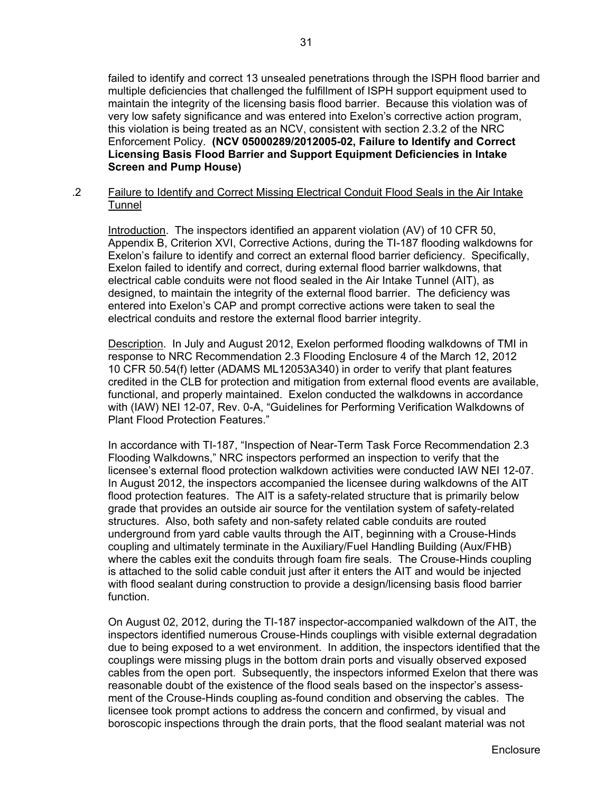failed to identify and correct 13 unsealed penetrations through the ISPH flood barrier and multiple deficiencies that challenged the fulfillment of ISPH support equipment used to maintain the integrity of the licensing basis flood barrier. Because this violation was of very low safety significance and was entered into Exelon's corrective action program, this violation is being treated as an NCV, consistent with section 2.3.2 of the NRC Enforcement Policy. **(NCV 05000289/2012005-02, Failure to Identify and Correct Licensing Basis Flood Barrier and Support Equipment Deficiencies in Intake Screen and Pump House)**

.2 Failure to Identify and Correct Missing Electrical Conduit Flood Seals in the Air Intake Tunnel

Introduction. The inspectors identified an apparent violation (AV) of 10 CFR 50, Appendix B, Criterion XVI, Corrective Actions, during the TI-187 flooding walkdowns for Exelon's failure to identify and correct an external flood barrier deficiency. Specifically, Exelon failed to identify and correct, during external flood barrier walkdowns, that electrical cable conduits were not flood sealed in the Air Intake Tunnel (AIT), as designed, to maintain the integrity of the external flood barrier. The deficiency was entered into Exelon's CAP and prompt corrective actions were taken to seal the electrical conduits and restore the external flood barrier integrity.

Description. In July and August 2012, Exelon performed flooding walkdowns of TMI in response to NRC Recommendation 2.3 Flooding Enclosure 4 of the March 12, 2012 10 CFR 50.54(f) letter (ADAMS ML12053A340) in order to verify that plant features credited in the CLB for protection and mitigation from external flood events are available, functional, and properly maintained. Exelon conducted the walkdowns in accordance with (IAW) NEI 12-07, Rev. 0-A, "Guidelines for Performing Verification Walkdowns of Plant Flood Protection Features."

In accordance with TI-187, "Inspection of Near-Term Task Force Recommendation 2.3 Flooding Walkdowns," NRC inspectors performed an inspection to verify that the licensee's external flood protection walkdown activities were conducted IAW NEI 12-07. In August 2012, the inspectors accompanied the licensee during walkdowns of the AIT flood protection features. The AIT is a safety-related structure that is primarily below grade that provides an outside air source for the ventilation system of safety-related structures. Also, both safety and non-safety related cable conduits are routed underground from yard cable vaults through the AIT, beginning with a Crouse-Hinds coupling and ultimately terminate in the Auxiliary/Fuel Handling Building (Aux/FHB) where the cables exit the conduits through foam fire seals. The Crouse-Hinds coupling is attached to the solid cable conduit just after it enters the AIT and would be injected with flood sealant during construction to provide a design/licensing basis flood barrier function.

On August 02, 2012, during the TI-187 inspector-accompanied walkdown of the AIT, the inspectors identified numerous Crouse-Hinds couplings with visible external degradation due to being exposed to a wet environment. In addition, the inspectors identified that the couplings were missing plugs in the bottom drain ports and visually observed exposed cables from the open port. Subsequently, the inspectors informed Exelon that there was reasonable doubt of the existence of the flood seals based on the inspector's assessment of the Crouse-Hinds coupling as-found condition and observing the cables. The licensee took prompt actions to address the concern and confirmed, by visual and boroscopic inspections through the drain ports, that the flood sealant material was not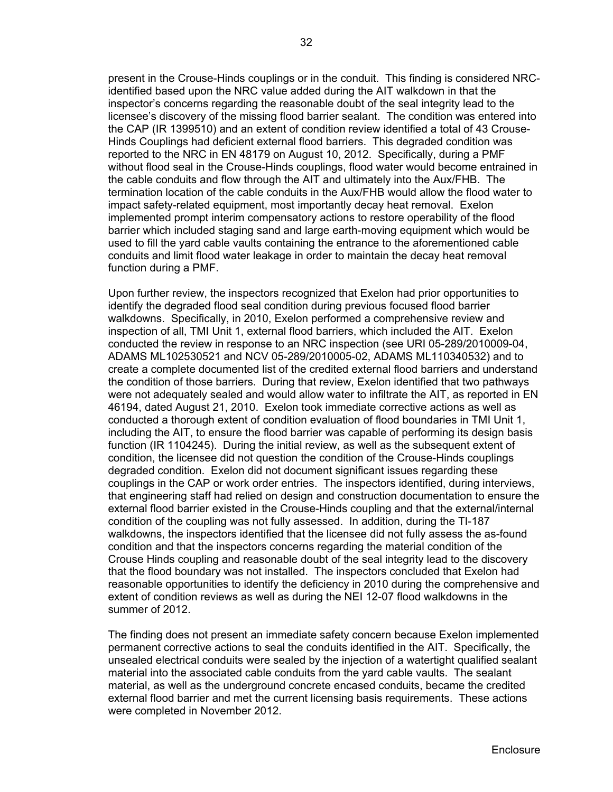present in the Crouse-Hinds couplings or in the conduit. This finding is considered NRCidentified based upon the NRC value added during the AIT walkdown in that the inspector's concerns regarding the reasonable doubt of the seal integrity lead to the licensee's discovery of the missing flood barrier sealant. The condition was entered into the CAP (IR 1399510) and an extent of condition review identified a total of 43 Crouse-Hinds Couplings had deficient external flood barriers. This degraded condition was reported to the NRC in EN 48179 on August 10, 2012. Specifically, during a PMF without flood seal in the Crouse-Hinds couplings, flood water would become entrained in the cable conduits and flow through the AIT and ultimately into the Aux/FHB. The termination location of the cable conduits in the Aux/FHB would allow the flood water to impact safety-related equipment, most importantly decay heat removal. Exelon implemented prompt interim compensatory actions to restore operability of the flood barrier which included staging sand and large earth-moving equipment which would be used to fill the yard cable vaults containing the entrance to the aforementioned cable conduits and limit flood water leakage in order to maintain the decay heat removal function during a PMF.

Upon further review, the inspectors recognized that Exelon had prior opportunities to identify the degraded flood seal condition during previous focused flood barrier walkdowns. Specifically, in 2010, Exelon performed a comprehensive review and inspection of all, TMI Unit 1, external flood barriers, which included the AIT. Exelon conducted the review in response to an NRC inspection (see URI 05-289/2010009-04, ADAMS ML102530521 and NCV 05-289/2010005-02, ADAMS ML110340532) and to create a complete documented list of the credited external flood barriers and understand the condition of those barriers. During that review, Exelon identified that two pathways were not adequately sealed and would allow water to infiltrate the AIT, as reported in EN 46194, dated August 21, 2010. Exelon took immediate corrective actions as well as conducted a thorough extent of condition evaluation of flood boundaries in TMI Unit 1, including the AIT, to ensure the flood barrier was capable of performing its design basis function (IR 1104245). During the initial review, as well as the subsequent extent of condition, the licensee did not question the condition of the Crouse-Hinds couplings degraded condition. Exelon did not document significant issues regarding these couplings in the CAP or work order entries. The inspectors identified, during interviews, that engineering staff had relied on design and construction documentation to ensure the external flood barrier existed in the Crouse-Hinds coupling and that the external/internal condition of the coupling was not fully assessed. In addition, during the TI-187 walkdowns, the inspectors identified that the licensee did not fully assess the as-found condition and that the inspectors concerns regarding the material condition of the Crouse Hinds coupling and reasonable doubt of the seal integrity lead to the discovery that the flood boundary was not installed. The inspectors concluded that Exelon had reasonable opportunities to identify the deficiency in 2010 during the comprehensive and extent of condition reviews as well as during the NEI 12-07 flood walkdowns in the summer of 2012.

The finding does not present an immediate safety concern because Exelon implemented permanent corrective actions to seal the conduits identified in the AIT. Specifically, the unsealed electrical conduits were sealed by the injection of a watertight qualified sealant material into the associated cable conduits from the yard cable vaults. The sealant material, as well as the underground concrete encased conduits, became the credited external flood barrier and met the current licensing basis requirements. These actions were completed in November 2012.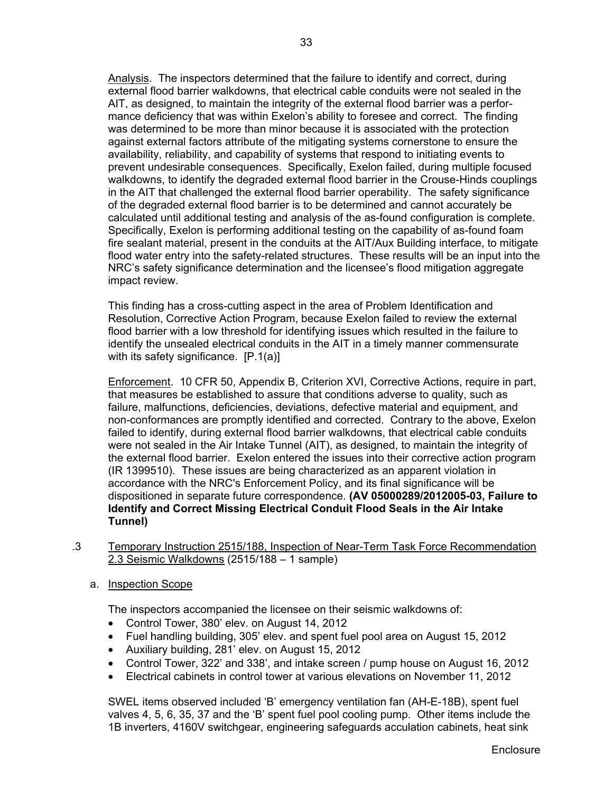Analysis. The inspectors determined that the failure to identify and correct, during external flood barrier walkdowns, that electrical cable conduits were not sealed in the AIT, as designed, to maintain the integrity of the external flood barrier was a performance deficiency that was within Exelon's ability to foresee and correct. The finding was determined to be more than minor because it is associated with the protection against external factors attribute of the mitigating systems cornerstone to ensure the availability, reliability, and capability of systems that respond to initiating events to prevent undesirable consequences. Specifically, Exelon failed, during multiple focused walkdowns, to identify the degraded external flood barrier in the Crouse-Hinds couplings in the AIT that challenged the external flood barrier operability. The safety significance of the degraded external flood barrier is to be determined and cannot accurately be calculated until additional testing and analysis of the as-found configuration is complete. Specifically, Exelon is performing additional testing on the capability of as-found foam fire sealant material, present in the conduits at the AIT/Aux Building interface, to mitigate flood water entry into the safety-related structures. These results will be an input into the NRC's safety significance determination and the licensee's flood mitigation aggregate impact review.

This finding has a cross-cutting aspect in the area of Problem Identification and Resolution, Corrective Action Program, because Exelon failed to review the external flood barrier with a low threshold for identifying issues which resulted in the failure to identify the unsealed electrical conduits in the AIT in a timely manner commensurate with its safety significance. [P.1(a)]

Enforcement. 10 CFR 50, Appendix B, Criterion XVI, Corrective Actions, require in part, that measures be established to assure that conditions adverse to quality, such as failure, malfunctions, deficiencies, deviations, defective material and equipment, and non-conformances are promptly identified and corrected. Contrary to the above, Exelon failed to identify, during external flood barrier walkdowns, that electrical cable conduits were not sealed in the Air Intake Tunnel (AIT), as designed, to maintain the integrity of the external flood barrier. Exelon entered the issues into their corrective action program (IR 1399510). These issues are being characterized as an apparent violation in accordance with the NRC's Enforcement Policy, and its final significance will be dispositioned in separate future correspondence. **(AV 05000289/2012005-03, Failure to Identify and Correct Missing Electrical Conduit Flood Seals in the Air Intake Tunnel)**

- .3 Temporary Instruction 2515/188, Inspection of Near-Term Task Force Recommendation 2.3 Seismic Walkdowns (2515/188 – 1 sample)
	- a. Inspection Scope

The inspectors accompanied the licensee on their seismic walkdowns of:

- Control Tower, 380' elev. on August 14, 2012
- Fuel handling building, 305' elev. and spent fuel pool area on August 15, 2012
- Auxiliary building, 281' elev. on August 15, 2012
- Control Tower, 322' and 338', and intake screen / pump house on August 16, 2012
- Electrical cabinets in control tower at various elevations on November 11, 2012

SWEL items observed included 'B' emergency ventilation fan (AH-E-18B), spent fuel valves 4, 5, 6, 35, 37 and the 'B' spent fuel pool cooling pump. Other items include the 1B inverters, 4160V switchgear, engineering safeguards acculation cabinets, heat sink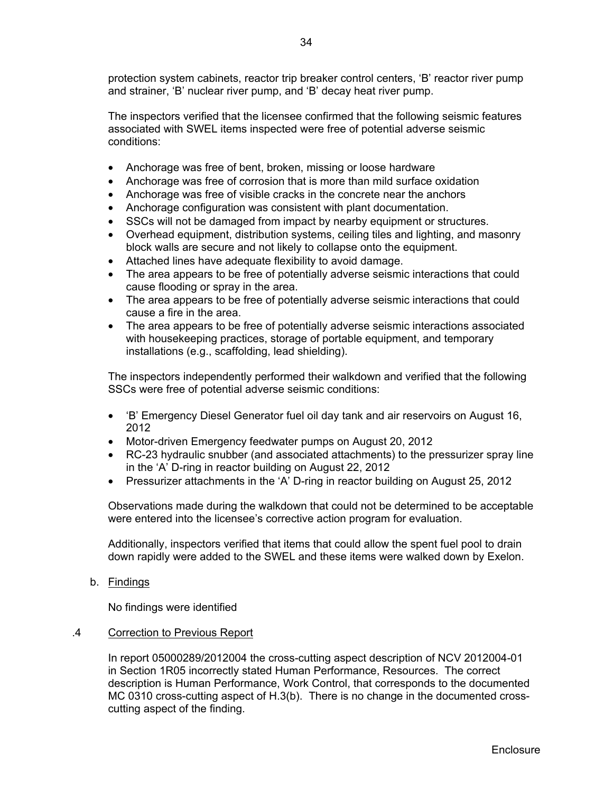protection system cabinets, reactor trip breaker control centers, 'B' reactor river pump and strainer, 'B' nuclear river pump, and 'B' decay heat river pump.

The inspectors verified that the licensee confirmed that the following seismic features associated with SWEL items inspected were free of potential adverse seismic conditions:

- Anchorage was free of bent, broken, missing or loose hardware
- Anchorage was free of corrosion that is more than mild surface oxidation
- Anchorage was free of visible cracks in the concrete near the anchors
- Anchorage configuration was consistent with plant documentation.
- SSCs will not be damaged from impact by nearby equipment or structures.
- Overhead equipment, distribution systems, ceiling tiles and lighting, and masonry block walls are secure and not likely to collapse onto the equipment.
- Attached lines have adequate flexibility to avoid damage.
- The area appears to be free of potentially adverse seismic interactions that could cause flooding or spray in the area.
- The area appears to be free of potentially adverse seismic interactions that could cause a fire in the area.
- The area appears to be free of potentially adverse seismic interactions associated with housekeeping practices, storage of portable equipment, and temporary installations (e.g., scaffolding, lead shielding).

The inspectors independently performed their walkdown and verified that the following SSCs were free of potential adverse seismic conditions:

- 'B' Emergency Diesel Generator fuel oil day tank and air reservoirs on August 16, 2012
- Motor-driven Emergency feedwater pumps on August 20, 2012
- RC-23 hydraulic snubber (and associated attachments) to the pressurizer spray line in the 'A' D-ring in reactor building on August 22, 2012
- Pressurizer attachments in the 'A' D-ring in reactor building on August 25, 2012

Observations made during the walkdown that could not be determined to be acceptable were entered into the licensee's corrective action program for evaluation.

Additionally, inspectors verified that items that could allow the spent fuel pool to drain down rapidly were added to the SWEL and these items were walked down by Exelon.

b. Findings

No findings were identified

#### .4 Correction to Previous Report

In report 05000289/2012004 the cross-cutting aspect description of NCV 2012004-01 in Section 1R05 incorrectly stated Human Performance, Resources. The correct description is Human Performance, Work Control, that corresponds to the documented MC 0310 cross-cutting aspect of H.3(b). There is no change in the documented crosscutting aspect of the finding.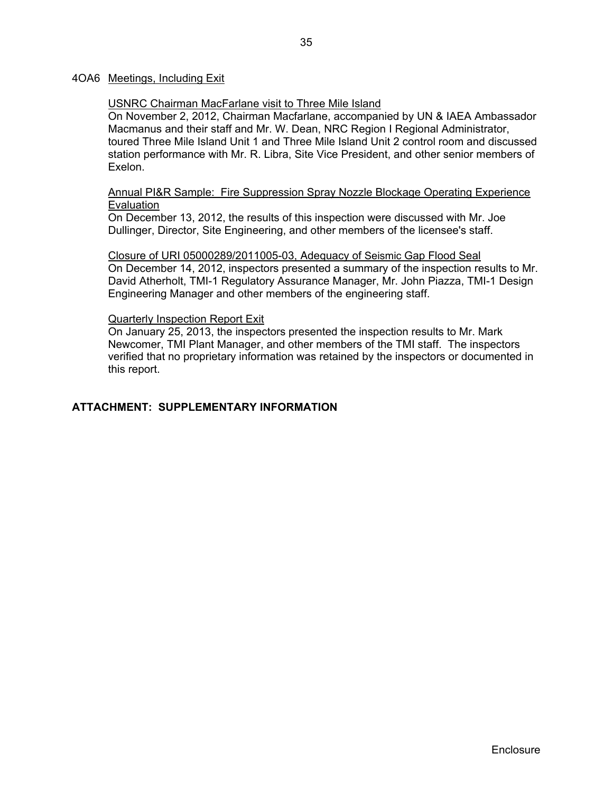#### 4OA6 Meetings, Including Exit

#### USNRC Chairman MacFarlane visit to Three Mile Island

On November 2, 2012, Chairman Macfarlane, accompanied by UN & IAEA Ambassador Macmanus and their staff and Mr. W. Dean, NRC Region I Regional Administrator, toured Three Mile Island Unit 1 and Three Mile Island Unit 2 control room and discussed station performance with Mr. R. Libra, Site Vice President, and other senior members of Exelon.

#### Annual PI&R Sample: Fire Suppression Spray Nozzle Blockage Operating Experience **Evaluation**

On December 13, 2012, the results of this inspection were discussed with Mr. Joe Dullinger, Director, Site Engineering, and other members of the licensee's staff.

### Closure of URI 05000289/2011005-03, Adequacy of Seismic Gap Flood Seal

On December 14, 2012, inspectors presented a summary of the inspection results to Mr. David Atherholt, TMI-1 Regulatory Assurance Manager, Mr. John Piazza, TMI-1 Design Engineering Manager and other members of the engineering staff.

#### Quarterly Inspection Report Exit

On January 25, 2013, the inspectors presented the inspection results to Mr. Mark Newcomer, TMI Plant Manager, and other members of the TMI staff. The inspectors verified that no proprietary information was retained by the inspectors or documented in this report.

## **ATTACHMENT: SUPPLEMENTARY INFORMATION**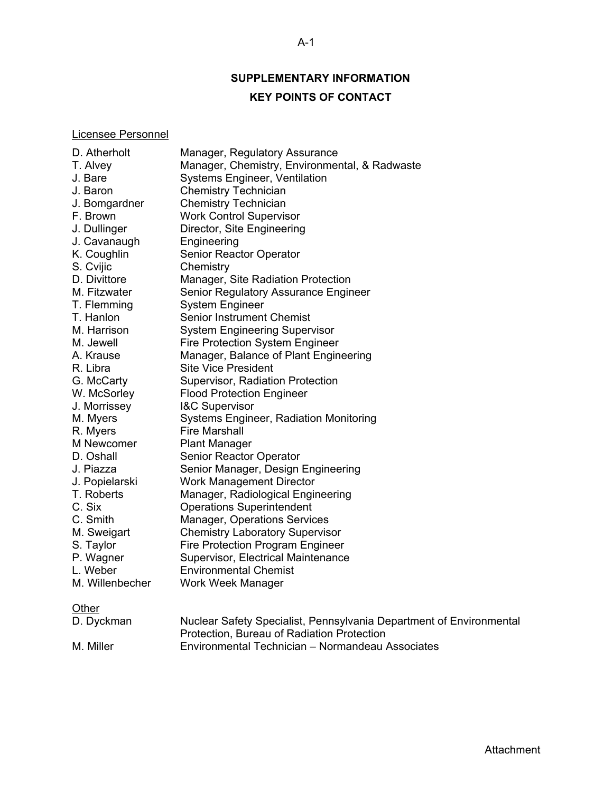## **SUPPLEMENTARY INFORMATION**

## **KEY POINTS OF CONTACT**

## Licensee Personnel

| D. Atherholt    | Manager, Regulatory Assurance                                                                                     |
|-----------------|-------------------------------------------------------------------------------------------------------------------|
| T. Alvey        | Manager, Chemistry, Environmental, & Radwaste                                                                     |
| J. Bare         | <b>Systems Engineer, Ventilation</b>                                                                              |
| J. Baron        | <b>Chemistry Technician</b>                                                                                       |
| J. Bomgardner   | <b>Chemistry Technician</b>                                                                                       |
| F. Brown        | <b>Work Control Supervisor</b>                                                                                    |
| J. Dullinger    | Director, Site Engineering                                                                                        |
| J. Cavanaugh    | Engineering                                                                                                       |
| K. Coughlin     | Senior Reactor Operator                                                                                           |
| S. Cvijic       | Chemistry                                                                                                         |
| D. Divittore    | Manager, Site Radiation Protection                                                                                |
| M. Fitzwater    | Senior Regulatory Assurance Engineer                                                                              |
| T. Flemming     | <b>System Engineer</b>                                                                                            |
| T. Hanlon       | <b>Senior Instrument Chemist</b>                                                                                  |
| M. Harrison     | <b>System Engineering Supervisor</b>                                                                              |
| M. Jewell       | <b>Fire Protection System Engineer</b>                                                                            |
| A. Krause       | Manager, Balance of Plant Engineering                                                                             |
| R. Libra        | <b>Site Vice President</b>                                                                                        |
| G. McCarty      | Supervisor, Radiation Protection                                                                                  |
| W. McSorley     | <b>Flood Protection Engineer</b>                                                                                  |
| J. Morrissey    | I&C Supervisor                                                                                                    |
| M. Myers        | <b>Systems Engineer, Radiation Monitoring</b>                                                                     |
| R. Myers        | <b>Fire Marshall</b>                                                                                              |
| M Newcomer      | <b>Plant Manager</b>                                                                                              |
| D. Oshall       | Senior Reactor Operator                                                                                           |
| J. Piazza       | Senior Manager, Design Engineering                                                                                |
| J. Popielarski  | <b>Work Management Director</b>                                                                                   |
| T. Roberts      | Manager, Radiological Engineering                                                                                 |
| C. Six          | <b>Operations Superintendent</b>                                                                                  |
| C. Smith        | Manager, Operations Services                                                                                      |
| M. Sweigart     | <b>Chemistry Laboratory Supervisor</b>                                                                            |
| S. Taylor       | Fire Protection Program Engineer                                                                                  |
| P. Wagner       | Supervisor, Electrical Maintenance                                                                                |
| L. Weber        | <b>Environmental Chemist</b>                                                                                      |
| M. Willenbecher | Work Week Manager                                                                                                 |
| Other           |                                                                                                                   |
| D. Dyckman      | Nuclear Safety Specialist, Pennsylvania Department of Environmental<br>Protection, Bureau of Radiation Protection |

M. Miller Environmental Technician – Normandeau Associates

### A-1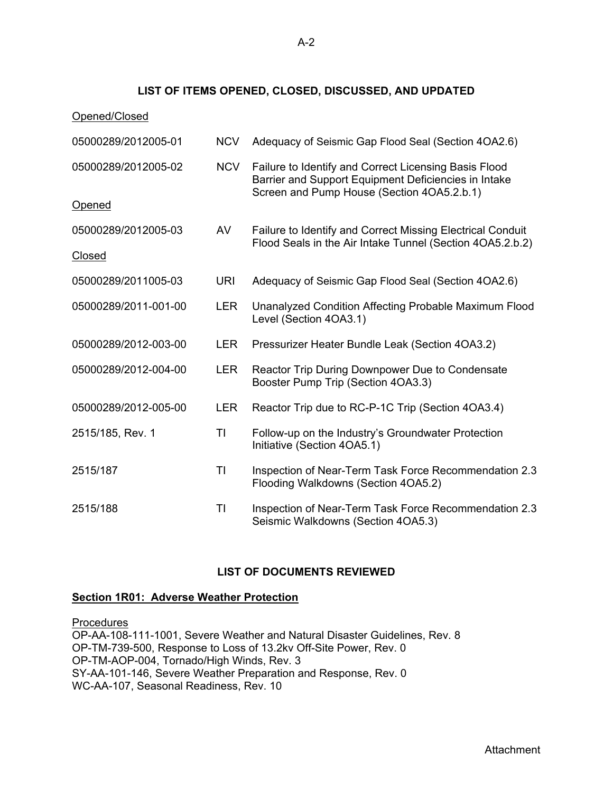## **LIST OF ITEMS OPENED, CLOSED, DISCUSSED, AND UPDATED**

| Opened/Closed        |            |                                                                                                                                                             |
|----------------------|------------|-------------------------------------------------------------------------------------------------------------------------------------------------------------|
| 05000289/2012005-01  | <b>NCV</b> | Adequacy of Seismic Gap Flood Seal (Section 4OA2.6)                                                                                                         |
| 05000289/2012005-02  | <b>NCV</b> | Failure to Identify and Correct Licensing Basis Flood<br>Barrier and Support Equipment Deficiencies in Intake<br>Screen and Pump House (Section 4OA5.2.b.1) |
| <b>Opened</b>        |            |                                                                                                                                                             |
| 05000289/2012005-03  | AV         | Failure to Identify and Correct Missing Electrical Conduit<br>Flood Seals in the Air Intake Tunnel (Section 4OA5.2.b.2)                                     |
| <b>Closed</b>        |            |                                                                                                                                                             |
| 05000289/2011005-03  | <b>URI</b> | Adequacy of Seismic Gap Flood Seal (Section 4OA2.6)                                                                                                         |
| 05000289/2011-001-00 | <b>LER</b> | Unanalyzed Condition Affecting Probable Maximum Flood<br>Level (Section 4OA3.1)                                                                             |
| 05000289/2012-003-00 | <b>LER</b> | Pressurizer Heater Bundle Leak (Section 4OA3.2)                                                                                                             |
| 05000289/2012-004-00 | <b>LER</b> | Reactor Trip During Downpower Due to Condensate<br>Booster Pump Trip (Section 4OA3.3)                                                                       |
| 05000289/2012-005-00 | <b>LER</b> | Reactor Trip due to RC-P-1C Trip (Section 4OA3.4)                                                                                                           |
| 2515/185, Rev. 1     | ΤI         | Follow-up on the Industry's Groundwater Protection<br>Initiative (Section 4OA5.1)                                                                           |
| 2515/187             | TI         | Inspection of Near-Term Task Force Recommendation 2.3<br>Flooding Walkdowns (Section 4OA5.2)                                                                |
| 2515/188             | TI         | Inspection of Near-Term Task Force Recommendation 2.3<br>Seismic Walkdowns (Section 4OA5.3)                                                                 |

## **LIST OF DOCUMENTS REVIEWED**

## **Section 1R01: Adverse Weather Protection**

**Procedures** OP-AA-108-111-1001, Severe Weather and Natural Disaster Guidelines, Rev. 8 OP-TM-739-500, Response to Loss of 13.2kv Off-Site Power, Rev. 0 OP-TM-AOP-004, Tornado/High Winds, Rev. 3 SY-AA-101-146, Severe Weather Preparation and Response, Rev. 0 WC-AA-107, Seasonal Readiness, Rev. 10

A-2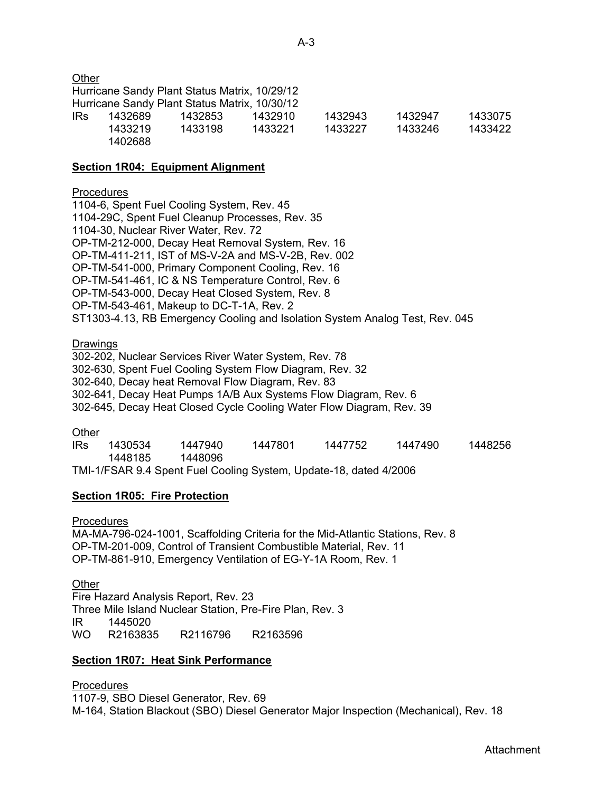**Other** 

Hurricane Sandy Plant Status Matrix, 10/29/12 Hurricane Sandy Plant Status Matrix, 10/30/12 IRs 1432689 1432853 1432910 1432943 1432947 1433075 1433219 1433198 1433221 1433227 1433246 1433422 1402688

### **Section 1R04: Equipment Alignment**

### **Procedures**

1104-6, Spent Fuel Cooling System, Rev. 45 1104-29C, Spent Fuel Cleanup Processes, Rev. 35 1104-30, Nuclear River Water, Rev. 72 OP-TM-212-000, Decay Heat Removal System, Rev. 16 OP-TM-411-211, IST of MS-V-2A and MS-V-2B, Rev. 002 OP-TM-541-000, Primary Component Cooling, Rev. 16 OP-TM-541-461, IC & NS Temperature Control, Rev. 6 OP-TM-543-000, Decay Heat Closed System, Rev. 8 OP-TM-543-461, Makeup to DC-T-1A, Rev. 2 ST1303-4.13, RB Emergency Cooling and Isolation System Analog Test, Rev. 045

### Drawings

302-202, Nuclear Services River Water System, Rev. 78 302-630, Spent Fuel Cooling System Flow Diagram, Rev. 32 302-640, Decay heat Removal Flow Diagram, Rev. 83 302-641, Decay Heat Pumps 1A/B Aux Systems Flow Diagram, Rev. 6 302-645, Decay Heat Closed Cycle Cooling Water Flow Diagram, Rev. 39

#### **Other**

IRs 1430534 1447940 1447801 1447752 1447490 1448256 1448185 1448096 TMI-1/FSAR 9.4 Spent Fuel Cooling System, Update-18, dated 4/2006

## **Section 1R05: Fire Protection**

**Procedures** 

MA-MA-796-024-1001, Scaffolding Criteria for the Mid-Atlantic Stations, Rev. 8 OP-TM-201-009, Control of Transient Combustible Material, Rev. 11 OP-TM-861-910, Emergency Ventilation of EG-Y-1A Room, Rev. 1

**Other** Fire Hazard Analysis Report, Rev. 23 Three Mile Island Nuclear Station, Pre-Fire Plan, Rev. 3 IR 1445020 WO R2163835 R2116796 R2163596

#### **Section 1R07: Heat Sink Performance**

Procedures 1107-9, SBO Diesel Generator, Rev. 69 M-164, Station Blackout (SBO) Diesel Generator Major Inspection (Mechanical), Rev. 18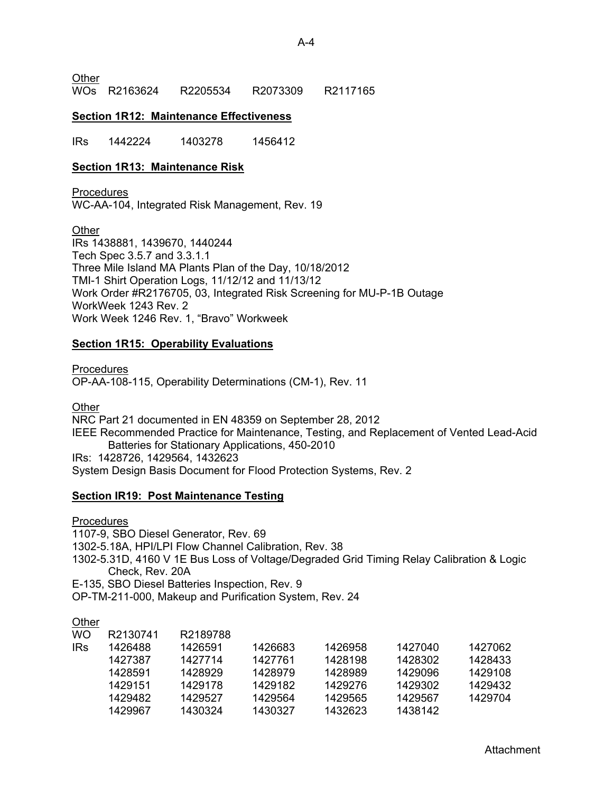**Other** 

WOs R2163624 R2205534 R2073309 R2117165

#### **Section 1R12: Maintenance Effectiveness**

IRs 1442224 1403278 1456412

### **Section 1R13: Maintenance Risk**

**Procedures** WC-AA-104, Integrated Risk Management, Rev. 19

**Other** IRs 1438881, 1439670, 1440244 Tech Spec 3.5.7 and 3.3.1.1 Three Mile Island MA Plants Plan of the Day, 10/18/2012 TMI-1 Shirt Operation Logs, 11/12/12 and 11/13/12 Work Order #R2176705, 03, Integrated Risk Screening for MU-P-1B Outage WorkWeek 1243 Rev. 2 Work Week 1246 Rev. 1, "Bravo" Workweek

### **Section 1R15: Operability Evaluations**

Procedures OP-AA-108-115, Operability Determinations (CM-1), Rev. 11

**Other** 

NRC Part 21 documented in EN 48359 on September 28, 2012 IEEE Recommended Practice for Maintenance, Testing, and Replacement of Vented Lead-Acid Batteries for Stationary Applications, 450-2010 IRs: 1428726, 1429564, 1432623 System Design Basis Document for Flood Protection Systems, Rev. 2

#### **Section IR19: Post Maintenance Testing**

**Procedures** 

1107-9, SBO Diesel Generator, Rev. 69

1302-5.18A, HPI/LPI Flow Channel Calibration, Rev. 38

1302-5.31D, 4160 V 1E Bus Loss of Voltage/Degraded Grid Timing Relay Calibration & Logic Check, Rev. 20A

E-135, SBO Diesel Batteries Inspection, Rev. 9

OP-TM-211-000, Makeup and Purification System, Rev. 24

## **Other**

| WO         | R2130741 | R2189788 |         |         |         |         |
|------------|----------|----------|---------|---------|---------|---------|
| <b>IRs</b> | 1426488  | 1426591  | 1426683 | 1426958 | 1427040 | 1427062 |
|            | 1427387  | 1427714  | 1427761 | 1428198 | 1428302 | 1428433 |
|            | 1428591  | 1428929  | 1428979 | 1428989 | 1429096 | 1429108 |
|            | 1429151  | 1429178  | 1429182 | 1429276 | 1429302 | 1429432 |
|            | 1429482  | 1429527  | 1429564 | 1429565 | 1429567 | 1429704 |
|            | 1429967  | 1430324  | 1430327 | 1432623 | 1438142 |         |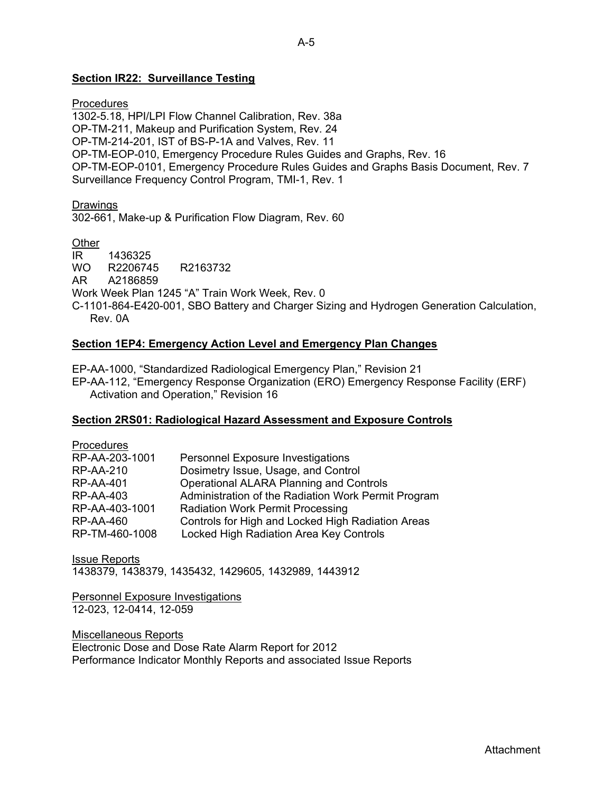### **Section IR22: Surveillance Testing**

**Procedures** 1302-5.18, HPI/LPI Flow Channel Calibration, Rev. 38a OP-TM-211, Makeup and Purification System, Rev. 24 OP-TM-214-201, IST of BS-P-1A and Valves, Rev. 11 OP-TM-EOP-010, Emergency Procedure Rules Guides and Graphs, Rev. 16 OP-TM-EOP-0101, Emergency Procedure Rules Guides and Graphs Basis Document, Rev. 7 Surveillance Frequency Control Program, TMI-1, Rev. 1

**Drawings** 302-661, Make-up & Purification Flow Diagram, Rev. 60

**Other** IR 1436325 WO R2206745 R2163732 AR A2186859 Work Week Plan 1245 "A" Train Work Week, Rev. 0 C-1101-864-E420-001, SBO Battery and Charger Sizing and Hydrogen Generation Calculation, Rev. 0A

#### **Section 1EP4: Emergency Action Level and Emergency Plan Changes**

EP-AA-1000, "Standardized Radiological Emergency Plan," Revision 21 EP-AA-112, "Emergency Response Organization (ERO) Emergency Response Facility (ERF) Activation and Operation," Revision 16

#### **Section 2RS01: Radiological Hazard Assessment and Exposure Controls**

| <b>Personnel Exposure Investigations</b>            |
|-----------------------------------------------------|
| Dosimetry Issue, Usage, and Control                 |
| <b>Operational ALARA Planning and Controls</b>      |
| Administration of the Radiation Work Permit Program |
| <b>Radiation Work Permit Processing</b>             |
| Controls for High and Locked High Radiation Areas   |
| Locked High Radiation Area Key Controls             |
|                                                     |

Issue Reports 1438379, 1438379, 1435432, 1429605, 1432989, 1443912

Personnel Exposure Investigations 12-023, 12-0414, 12-059

Miscellaneous Reports Electronic Dose and Dose Rate Alarm Report for 2012 Performance Indicator Monthly Reports and associated Issue Reports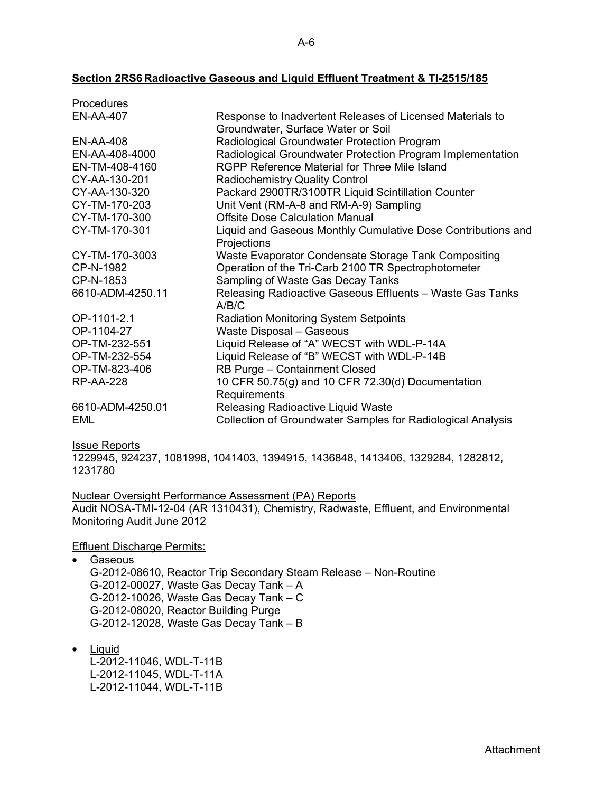#### **Section 2RS6 Radioactive Gaseous and Liquid Effluent Treatment & TI-2515/185**

| Procedures       |                                                              |
|------------------|--------------------------------------------------------------|
| <b>EN-AA-407</b> | Response to Inadvertent Releases of Licensed Materials to    |
|                  | Groundwater, Surface Water or Soil                           |
| EN-AA-408        | Radiological Groundwater Protection Program                  |
| EN-AA-408-4000   | Radiological Groundwater Protection Program Implementation   |
| EN-TM-408-4160   | RGPP Reference Material for Three Mile Island                |
| CY-AA-130-201    | <b>Radiochemistry Quality Control</b>                        |
| CY-AA-130-320    | Packard 2900TR/3100TR Liquid Scintillation Counter           |
| CY-TM-170-203    | Unit Vent (RM-A-8 and RM-A-9) Sampling                       |
| CY-TM-170-300    | <b>Offsite Dose Calculation Manual</b>                       |
| CY-TM-170-301    | Liquid and Gaseous Monthly Cumulative Dose Contributions and |
|                  | Projections                                                  |
| CY-TM-170-3003   | Waste Evaporator Condensate Storage Tank Compositing         |
| CP-N-1982        | Operation of the Tri-Carb 2100 TR Spectrophotometer          |
| CP-N-1853        | Sampling of Waste Gas Decay Tanks                            |
| 6610-ADM-4250.11 | Releasing Radioactive Gaseous Effluents - Waste Gas Tanks    |
|                  | A/B/C                                                        |
| OP-1101-2.1      | <b>Radiation Monitoring System Setpoints</b>                 |
| OP-1104-27       | Waste Disposal - Gaseous                                     |
| OP-TM-232-551    | Liquid Release of "A" WECST with WDL-P-14A                   |
| OP-TM-232-554    | Liquid Release of "B" WECST with WDL-P-14B                   |
| OP-TM-823-406    | RB Purge - Containment Closed                                |
| <b>RP-AA-228</b> | 10 CFR 50.75(g) and 10 CFR 72.30(d) Documentation            |
|                  | Requirements                                                 |
| 6610-ADM-4250.01 | Releasing Radioactive Liquid Waste                           |
| EML              | Collection of Groundwater Samples for Radiological Analysis  |

Issue Reports

1229945, 924237, 1081998, 1041403, 1394915, 1436848, 1413406, 1329284, 1282812, 1231780

Nuclear Oversight Performance Assessment (PA) Reports Audit NOSA-TMI-12-04 (AR 1310431), Chemistry, Radwaste, Effluent, and Environmental Monitoring Audit June 2012

Effluent Discharge Permits:

• Gaseous G-2012-08610, Reactor Trip Secondary Steam Release – Non-Routine G-2012-00027, Waste Gas Decay Tank – A G-2012-10026, Waste Gas Decay Tank – C G-2012-08020, Reactor Building Purge G-2012-12028, Waste Gas Decay Tank – B

• Liquid

L-2012-11046, WDL-T-11B L-2012-11045, WDL-T-11A L-2012-11044, WDL-T-11B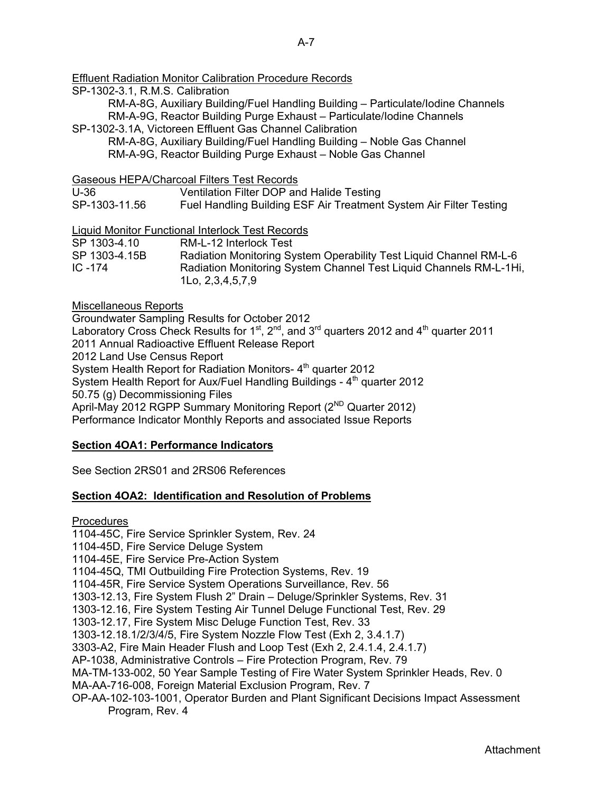## Effluent Radiation Monitor Calibration Procedure Records

SP-1302-3.1, R.M.S. Calibration

RM-A-8G, Auxiliary Building/Fuel Handling Building – Particulate/Iodine Channels RM-A-9G, Reactor Building Purge Exhaust – Particulate/Iodine Channels

SP-1302-3.1A, Victoreen Effluent Gas Channel Calibration

RM-A-8G, Auxiliary Building/Fuel Handling Building – Noble Gas Channel RM-A-9G, Reactor Building Purge Exhaust – Noble Gas Channel

Gaseous HEPA/Charcoal Filters Test Records

U-36 Ventilation Filter DOP and Halide Testing

SP-1303-11.56 Fuel Handling Building ESF Air Treatment System Air Filter Testing

Liquid Monitor Functional Interlock Test Records

| SP 1303-4.10  | RM-L-12 Interlock Test                                             |
|---------------|--------------------------------------------------------------------|
| SP 1303-4.15B | Radiation Monitoring System Operability Test Liquid Channel RM-L-6 |
| IC -174       | Radiation Monitoring System Channel Test Liquid Channels RM-L-1Hi, |
|               | $1$ Lo, $2,3,4,5,7,9$                                              |

### Miscellaneous Reports

Groundwater Sampling Results for October 2012 Laboratory Cross Check Results for 1<sup>st</sup>, 2<sup>nd</sup>, and 3<sup>rd</sup> quarters 2012 and 4<sup>th</sup> quarter 2011 2011 Annual Radioactive Effluent Release Report 2012 Land Use Census Report System Health Report for Radiation Monitors- 4<sup>th</sup> quarter 2012 System Health Report for Aux/Fuel Handling Buildings -  $4<sup>th</sup>$  quarter 2012 50.75 (g) Decommissioning Files April-May 2012 RGPP Summary Monitoring Report (2<sup>ND</sup> Quarter 2012) Performance Indicator Monthly Reports and associated Issue Reports

## **Section 4OA1: Performance Indicators**

See Section 2RS01 and 2RS06 References

## **Section 4OA2: Identification and Resolution of Problems**

**Procedures** 

1104-45C, Fire Service Sprinkler System, Rev. 24

1104-45D, Fire Service Deluge System

1104-45E, Fire Service Pre-Action System

1104-45Q, TMI Outbuilding Fire Protection Systems, Rev. 19

1104-45R, Fire Service System Operations Surveillance, Rev. 56

1303-12.13, Fire System Flush 2" Drain – Deluge/Sprinkler Systems, Rev. 31

1303-12.16, Fire System Testing Air Tunnel Deluge Functional Test, Rev. 29

1303-12.17, Fire System Misc Deluge Function Test, Rev. 33

1303-12.18.1/2/3/4/5, Fire System Nozzle Flow Test (Exh 2, 3.4.1.7)

3303-A2, Fire Main Header Flush and Loop Test (Exh 2, 2.4.1.4, 2.4.1.7)

AP-1038, Administrative Controls – Fire Protection Program, Rev. 79

MA-TM-133-002, 50 Year Sample Testing of Fire Water System Sprinkler Heads, Rev. 0

MA-AA-716-008, Foreign Material Exclusion Program, Rev. 7

OP-AA-102-103-1001, Operator Burden and Plant Significant Decisions Impact Assessment Program, Rev. 4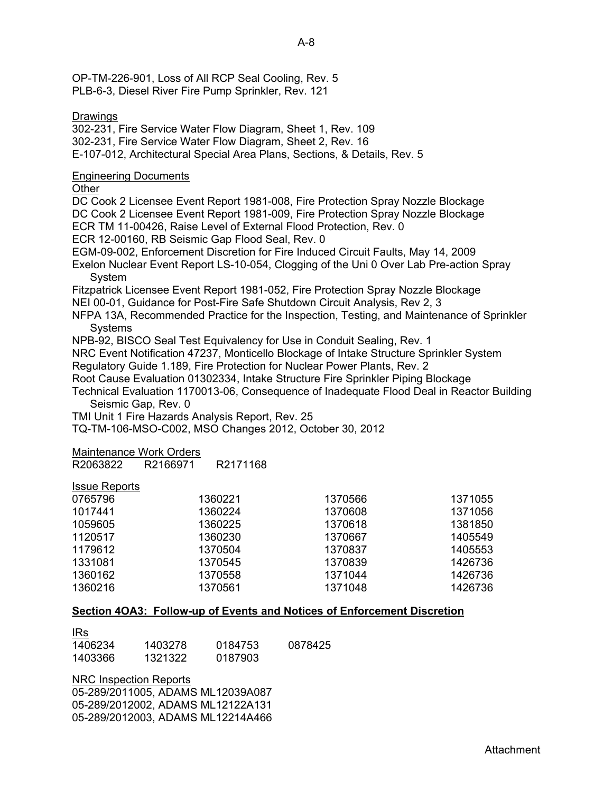OP-TM-226-901, Loss of All RCP Seal Cooling, Rev. 5 PLB-6-3, Diesel River Fire Pump Sprinkler, Rev. 121

#### Drawings

302-231, Fire Service Water Flow Diagram, Sheet 1, Rev. 109 302-231, Fire Service Water Flow Diagram, Sheet 2, Rev. 16 E-107-012, Architectural Special Area Plans, Sections, & Details, Rev. 5 Engineering Documents **Other** DC Cook 2 Licensee Event Report 1981-008, Fire Protection Spray Nozzle Blockage DC Cook 2 Licensee Event Report 1981-009, Fire Protection Spray Nozzle Blockage ECR TM 11-00426, Raise Level of External Flood Protection, Rev. 0 ECR 12-00160, RB Seismic Gap Flood Seal, Rev. 0 EGM-09-002, Enforcement Discretion for Fire Induced Circuit Faults, May 14, 2009 Exelon Nuclear Event Report LS-10-054, Clogging of the Uni 0 Over Lab Pre-action Spray System Fitzpatrick Licensee Event Report 1981-052, Fire Protection Spray Nozzle Blockage NEI 00-01, Guidance for Post-Fire Safe Shutdown Circuit Analysis, Rev 2, 3 NFPA 13A, Recommended Practice for the Inspection, Testing, and Maintenance of Sprinkler **Systems** NPB-92, BISCO Seal Test Equivalency for Use in Conduit Sealing, Rev. 1 NRC Event Notification 47237, Monticello Blockage of Intake Structure Sprinkler System Regulatory Guide 1.189, Fire Protection for Nuclear Power Plants, Rev. 2 Root Cause Evaluation 01302334, Intake Structure Fire Sprinkler Piping Blockage Technical Evaluation 1170013-06, Consequence of Inadequate Flood Deal in Reactor Building Seismic Gap, Rev. 0 TMI Unit 1 Fire Hazards Analysis Report, Rev. 25 TQ-TM-106-MSO-C002, MSO Changes 2012, October 30, 2012 Maintenance Work Orders R2063822 R2166971 R2171168

#### Issue Reports

| 1360221 | 1370566 | 1371055 |
|---------|---------|---------|
| 1360224 | 1370608 | 1371056 |
| 1360225 | 1370618 | 1381850 |
| 1360230 | 1370667 | 1405549 |
| 1370504 | 1370837 | 1405553 |
| 1370545 | 1370839 | 1426736 |
| 1370558 | 1371044 | 1426736 |
| 1370561 | 1371048 | 1426736 |
|         |         |         |

#### **Section 4OA3: Follow-up of Events and Notices of Enforcement Discretion**

| <b>IRs</b> |         |         |         |
|------------|---------|---------|---------|
| 1406234    | 1403278 | 0184753 | 0878425 |
| 1403366    | 1321322 | 0187903 |         |

NRC Inspection Reports 05-289/2011005, ADAMS ML12039A087 05-289/2012002, ADAMS ML12122A131 05-289/2012003, ADAMS ML12214A466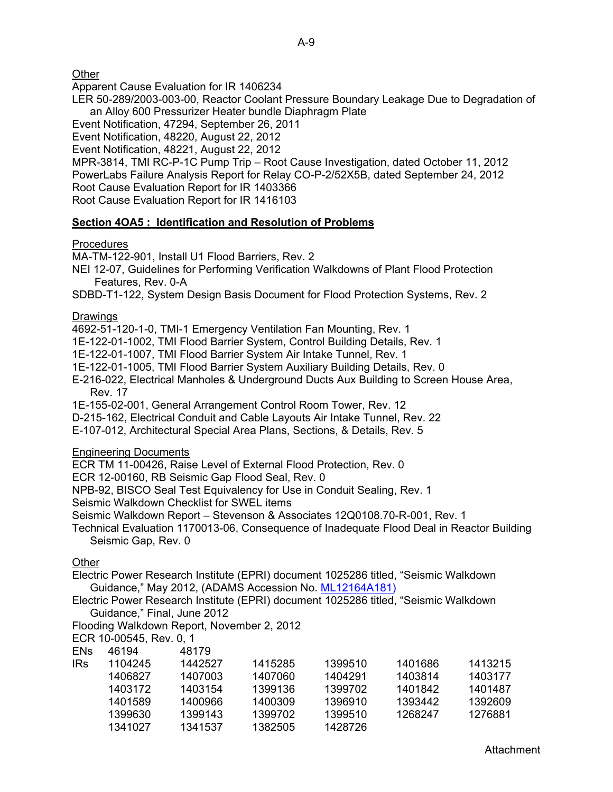**Other** 

Apparent Cause Evaluation for IR 1406234

LER 50-289/2003-003-00, Reactor Coolant Pressure Boundary Leakage Due to Degradation of an Alloy 600 Pressurizer Heater bundle Diaphragm Plate

Event Notification, 47294, September 26, 2011

Event Notification, 48220, August 22, 2012

Event Notification, 48221, August 22, 2012

MPR-3814, TMI RC-P-1C Pump Trip – Root Cause Investigation, dated October 11, 2012 PowerLabs Failure Analysis Report for Relay CO-P-2/52X5B, dated September 24, 2012 Root Cause Evaluation Report for IR 1403366 Root Cause Evaluation Report for IR 1416103

## **Section 4OA5 : Identification and Resolution of Problems**

## **Procedures**

MA-TM-122-901, Install U1 Flood Barriers, Rev. 2

NEI 12-07, Guidelines for Performing Verification Walkdowns of Plant Flood Protection Features, Rev. 0-A

SDBD-T1-122, System Design Basis Document for Flood Protection Systems, Rev. 2

## Drawings

4692-51-120-1-0, TMI-1 Emergency Ventilation Fan Mounting, Rev. 1

1E-122-01-1002, TMI Flood Barrier System, Control Building Details, Rev. 1

1E-122-01-1007, TMI Flood Barrier System Air Intake Tunnel, Rev. 1

1E-122-01-1005, TMI Flood Barrier System Auxiliary Building Details, Rev. 0

E-216-022, Electrical Manholes & Underground Ducts Aux Building to Screen House Area, Rev. 17

1E-155-02-001, General Arrangement Control Room Tower, Rev. 12

D-215-162, Electrical Conduit and Cable Layouts Air Intake Tunnel, Rev. 22

E-107-012, Architectural Special Area Plans, Sections, & Details, Rev. 5

## Engineering Documents

ECR TM 11-00426, Raise Level of External Flood Protection, Rev. 0

ECR 12-00160, RB Seismic Gap Flood Seal, Rev. 0

NPB-92, BISCO Seal Test Equivalency for Use in Conduit Sealing, Rev. 1

Seismic Walkdown Checklist for SWEL items

Seismic Walkdown Report – Stevenson & Associates 12Q0108.70-R-001, Rev. 1

Technical Evaluation 1170013-06, Consequence of Inadequate Flood Deal in Reactor Building Seismic Gap, Rev. 0

## **Other**

Electric Power Research Institute (EPRI) document 1025286 titled, "Seismic Walkdown Guidance," May 2012, (ADAMS Accession No. ML12164A181)

Electric Power Research Institute (EPRI) document 1025286 titled, "Seismic Walkdown Guidance," Final, June 2012

Flooding Walkdown Report, November 2, 2012

ECR 10-00545, Rev. 0, 1

| <b>ENs</b> | 46194   | 48179   |         |         |         |         |
|------------|---------|---------|---------|---------|---------|---------|
| <b>IRs</b> | 1104245 | 1442527 | 1415285 | 1399510 | 1401686 | 1413215 |
|            | 1406827 | 1407003 | 1407060 | 1404291 | 1403814 | 1403177 |
|            | 1403172 | 1403154 | 1399136 | 1399702 | 1401842 | 1401487 |
|            | 1401589 | 1400966 | 1400309 | 1396910 | 1393442 | 1392609 |
|            | 1399630 | 1399143 | 1399702 | 1399510 | 1268247 | 1276881 |
|            | 1341027 | 1341537 | 1382505 | 1428726 |         |         |